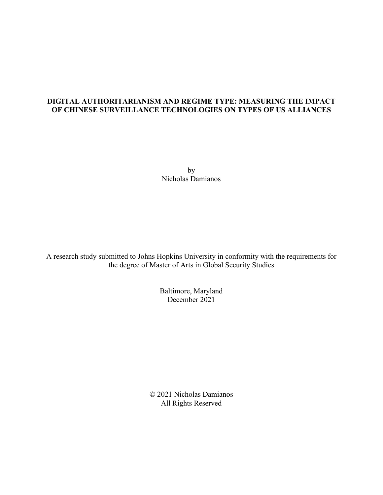# **DIGITAL AUTHORITARIANISM AND REGIME TYPE: MEASURING THE IMPACT OF CHINESE SURVEILLANCE TECHNOLOGIES ON TYPES OF US ALLIANCES**

by Nicholas Damianos

A research study submitted to Johns Hopkins University in conformity with the requirements for the degree of Master of Arts in Global Security Studies

> Baltimore, Maryland December 2021

© 2021 Nicholas Damianos All Rights Reserved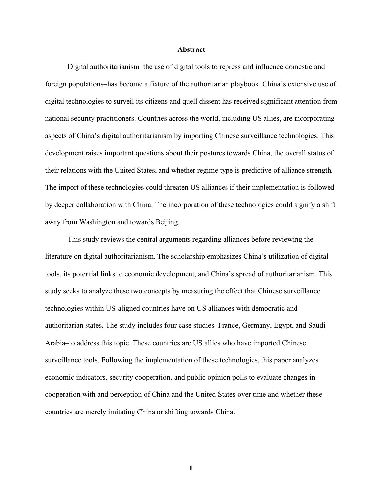#### **Abstract**

Digital authoritarianism–the use of digital tools to repress and influence domestic and foreign populations–has become a fixture of the authoritarian playbook. China's extensive use of digital technologies to surveil its citizens and quell dissent has received significant attention from national security practitioners. Countries across the world, including US allies, are incorporating aspects of China's digital authoritarianism by importing Chinese surveillance technologies. This development raises important questions about their postures towards China, the overall status of their relations with the United States, and whether regime type is predictive of alliance strength. The import of these technologies could threaten US alliances if their implementation is followed by deeper collaboration with China. The incorporation of these technologies could signify a shift away from Washington and towards Beijing.

This study reviews the central arguments regarding alliances before reviewing the literature on digital authoritarianism. The scholarship emphasizes China's utilization of digital tools, its potential links to economic development, and China's spread of authoritarianism. This study seeks to analyze these two concepts by measuring the effect that Chinese surveillance technologies within US-aligned countries have on US alliances with democratic and authoritarian states. The study includes four case studies–France, Germany, Egypt, and Saudi Arabia–to address this topic. These countries are US allies who have imported Chinese surveillance tools. Following the implementation of these technologies, this paper analyzes economic indicators, security cooperation, and public opinion polls to evaluate changes in cooperation with and perception of China and the United States over time and whether these countries are merely imitating China or shifting towards China.

ii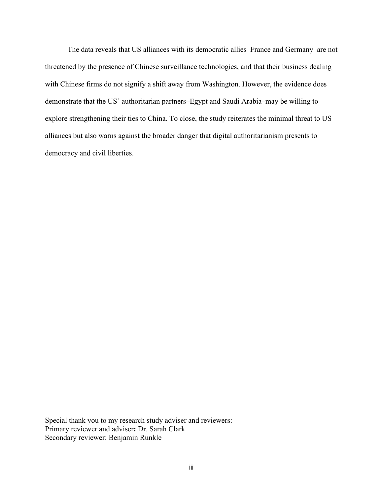The data reveals that US alliances with its democratic allies–France and Germany–are not threatened by the presence of Chinese surveillance technologies, and that their business dealing with Chinese firms do not signify a shift away from Washington. However, the evidence does demonstrate that the US' authoritarian partners–Egypt and Saudi Arabia–may be willing to explore strengthening their ties to China. To close, the study reiterates the minimal threat to US alliances but also warns against the broader danger that digital authoritarianism presents to democracy and civil liberties.

Special thank you to my research study adviser and reviewers: Primary reviewer and adviser**:** Dr. Sarah Clark Secondary reviewer: Benjamin Runkle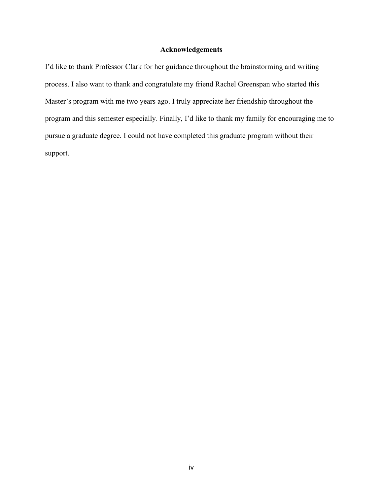# **Acknowledgements**

I'd like to thank Professor Clark for her guidance throughout the brainstorming and writing process. I also want to thank and congratulate my friend Rachel Greenspan who started this Master's program with me two years ago. I truly appreciate her friendship throughout the program and this semester especially. Finally, I'd like to thank my family for encouraging me to pursue a graduate degree. I could not have completed this graduate program without their support.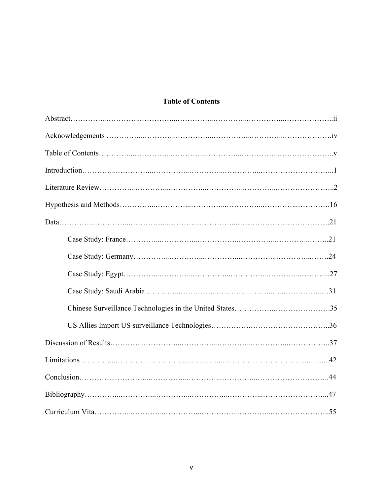# **Table of Contents**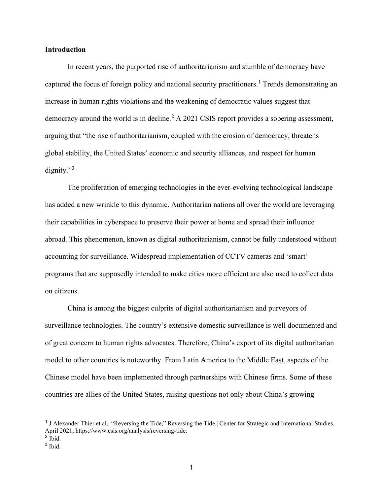### **Introduction**

In recent years, the purported rise of authoritarianism and stumble of democracy have captured the focus of foreign policy and national security practitioners.<sup>[1](#page-5-0)</sup> Trends demonstrating an increase in human rights violations and the weakening of democratic values suggest that democracy around the world is in decline.<sup>[2](#page-5-1)</sup> A 2021 CSIS report provides a sobering assessment, arguing that "the rise of authoritarianism, coupled with the erosion of democracy, threatens global stability, the United States' economic and security alliances, and respect for human dignity."<sup>[3](#page-5-2)</sup>

The proliferation of emerging technologies in the ever-evolving technological landscape has added a new wrinkle to this dynamic. Authoritarian nations all over the world are leveraging their capabilities in cyberspace to preserve their power at home and spread their influence abroad. This phenomenon, known as digital authoritarianism, cannot be fully understood without accounting for surveillance. Widespread implementation of CCTV cameras and 'smart' programs that are supposedly intended to make cities more efficient are also used to collect data on citizens.

China is among the biggest culprits of digital authoritarianism and purveyors of surveillance technologies. The country's extensive domestic surveillance is well documented and of great concern to human rights advocates. Therefore, China's export of its digital authoritarian model to other countries is noteworthy. From Latin America to the Middle East, aspects of the Chinese model have been implemented through partnerships with Chinese firms. Some of these countries are allies of the United States, raising questions not only about China's growing

<span id="page-5-0"></span><sup>&</sup>lt;sup>1</sup> J Alexander Thier et al., "Reversing the Tide," Reversing the Tide | Center for Strategic and International Studies, April 2021, https://www.csis.org/analysis/reversing-tide.

<span id="page-5-1"></span> $2$  Ibid.

<span id="page-5-2"></span><sup>3</sup> Ibid.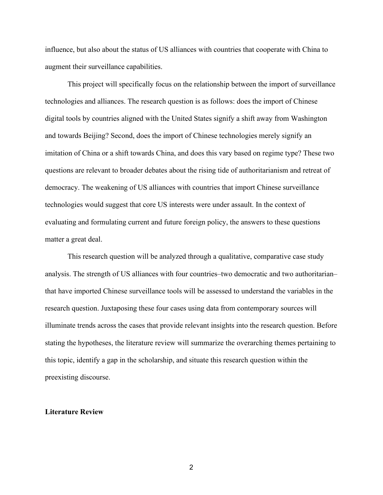influence, but also about the status of US alliances with countries that cooperate with China to augment their surveillance capabilities.

This project will specifically focus on the relationship between the import of surveillance technologies and alliances. The research question is as follows: does the import of Chinese digital tools by countries aligned with the United States signify a shift away from Washington and towards Beijing? Second, does the import of Chinese technologies merely signify an imitation of China or a shift towards China, and does this vary based on regime type? These two questions are relevant to broader debates about the rising tide of authoritarianism and retreat of democracy. The weakening of US alliances with countries that import Chinese surveillance technologies would suggest that core US interests were under assault. In the context of evaluating and formulating current and future foreign policy, the answers to these questions matter a great deal.

This research question will be analyzed through a qualitative, comparative case study analysis. The strength of US alliances with four countries–two democratic and two authoritarian– that have imported Chinese surveillance tools will be assessed to understand the variables in the research question. Juxtaposing these four cases using data from contemporary sources will illuminate trends across the cases that provide relevant insights into the research question. Before stating the hypotheses, the literature review will summarize the overarching themes pertaining to this topic, identify a gap in the scholarship, and situate this research question within the preexisting discourse.

#### **Literature Review**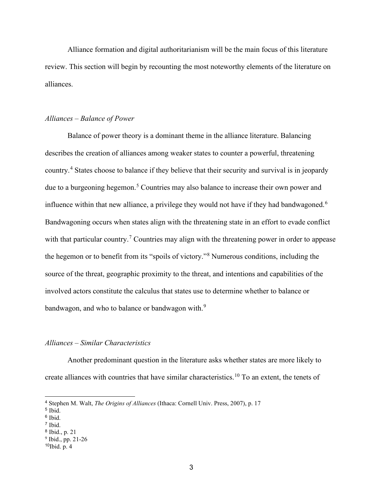Alliance formation and digital authoritarianism will be the main focus of this literature review. This section will begin by recounting the most noteworthy elements of the literature on alliances.

#### *Alliances – Balance of Power*

Balance of power theory is a dominant theme in the alliance literature. Balancing describes the creation of alliances among weaker states to counter a powerful, threatening country.[4](#page-7-0) States choose to balance if they believe that their security and survival is in jeopardy due to a burgeoning hegemon.<sup>[5](#page-7-1)</sup> Countries may also balance to increase their own power and influence within that new alliance, a privilege they would not have if they had bandwagoned.<sup>[6](#page-7-2)</sup> Bandwagoning occurs when states align with the threatening state in an effort to evade conflict with that particular country.<sup>[7](#page-7-3)</sup> Countries may align with the threatening power in order to appease the hegemon or to benefit from its "spoils of victory."[8](#page-7-4) Numerous conditions, including the source of the threat, geographic proximity to the threat, and intentions and capabilities of the involved actors constitute the calculus that states use to determine whether to balance or bandwagon, and who to balance or bandwagon with.<sup>[9](#page-7-5)</sup>

### *Alliances – Similar Characteristics*

Another predominant question in the literature asks whether states are more likely to create alliances with countries that have similar characteristics. [10](#page-7-6) To an extent, the tenets of

<span id="page-7-0"></span><sup>4</sup> Stephen M. Walt, *The Origins of Alliances* (Ithaca: Cornell Univ. Press, 2007), p. 17

<span id="page-7-1"></span><sup>5</sup> Ibid.

<span id="page-7-2"></span><sup>6</sup> Ibid.

<span id="page-7-3"></span><sup>7</sup> Ibid.

<span id="page-7-4"></span><sup>8</sup> Ibid., p. 21

<span id="page-7-5"></span> $9$  Ibid., pp. 21-26

<span id="page-7-6"></span> $10$ Ibid. p. 4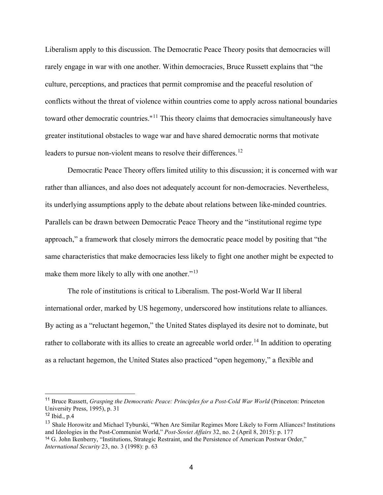Liberalism apply to this discussion. The Democratic Peace Theory posits that democracies will rarely engage in war with one another. Within democracies, Bruce Russett explains that "the culture, perceptions, and practices that permit compromise and the peaceful resolution of conflicts without the threat of violence within countries come to apply across national boundaries toward other democratic countries."<sup>[11](#page-8-0)</sup> This theory claims that democracies simultaneously have greater institutional obstacles to wage war and have shared democratic norms that motivate leaders to pursue non-violent means to resolve their differences.<sup>[12](#page-8-1)</sup>

Democratic Peace Theory offers limited utility to this discussion; it is concerned with war rather than alliances, and also does not adequately account for non-democracies. Nevertheless, its underlying assumptions apply to the debate about relations between like-minded countries. Parallels can be drawn between Democratic Peace Theory and the "institutional regime type approach," a framework that closely mirrors the democratic peace model by positing that "the same characteristics that make democracies less likely to fight one another might be expected to make them more likely to ally with one another."<sup>[13](#page-8-2)</sup>

The role of institutions is critical to Liberalism. The post-World War II liberal international order, marked by US hegemony, underscored how institutions relate to alliances. By acting as a "reluctant hegemon," the United States displayed its desire not to dominate, but rather to collaborate with its allies to create an agreeable world order.<sup>[14](#page-8-3)</sup> In addition to operating as a reluctant hegemon, the United States also practiced "open hegemony," a flexible and

<span id="page-8-0"></span><sup>11</sup> Bruce Russett, *Grasping the Democratic Peace: Principles for a Post-Cold War World* (Princeton: Princeton University Press, 1995), p. 31

<span id="page-8-1"></span> $12$  Ibid., p.4

<span id="page-8-3"></span><span id="page-8-2"></span><sup>&</sup>lt;sup>13</sup> Shale Horowitz and Michael Tyburski, "When Are Similar Regimes More Likely to Form Alliances? Institutions and Ideologies in the Post-Communist World," *Post-Soviet Affairs* 32, no. 2 (April 8, 2015): p. 177 <sup>14</sup> G. John Ikenberry, "Institutions, Strategic Restraint, and the Persistence of American Postwar Order," *International Security* 23, no. 3 (1998): p. 63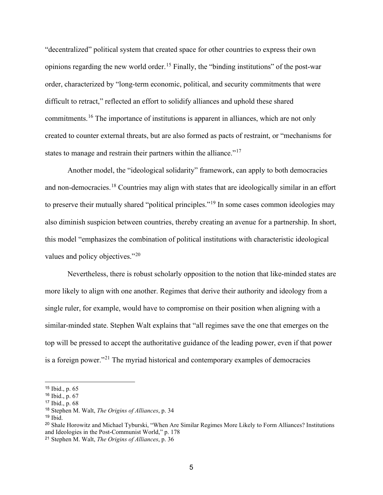"decentralized" political system that created space for other countries to express their own opinions regarding the new world order.<sup>[15](#page-9-0)</sup> Finally, the "binding institutions" of the post-war order, characterized by "long-term economic, political, and security commitments that were difficult to retract," reflected an effort to solidify alliances and uphold these shared commitments.[16](#page-9-1) The importance of institutions is apparent in alliances, which are not only created to counter external threats, but are also formed as pacts of restraint, or "mechanisms for states to manage and restrain their partners within the alliance."<sup>[17](#page-9-2)</sup>

Another model, the "ideological solidarity" framework, can apply to both democracies and non-democracies.<sup>[18](#page-9-3)</sup> Countries may align with states that are ideologically similar in an effort to preserve their mutually shared "political principles."<sup>[19](#page-9-4)</sup> In some cases common ideologies may also diminish suspicion between countries, thereby creating an avenue for a partnership. In short, this model "emphasizes the combination of political institutions with characteristic ideological values and policy objectives."[20](#page-9-5)

Nevertheless, there is robust scholarly opposition to the notion that like-minded states are more likely to align with one another. Regimes that derive their authority and ideology from a single ruler, for example, would have to compromise on their position when aligning with a similar-minded state. Stephen Walt explains that "all regimes save the one that emerges on the top will be pressed to accept the authoritative guidance of the leading power, even if that power is a foreign power."[21](#page-9-6) The myriad historical and contemporary examples of democracies

<span id="page-9-0"></span><sup>15</sup> Ibid., p. 65

<span id="page-9-1"></span><sup>16</sup> Ibid., p. 67

<span id="page-9-2"></span><sup>17</sup> Ibid., p. 68

<span id="page-9-3"></span><sup>18</sup> Stephen M. Walt, *The Origins of Alliances*, p. 34

<span id="page-9-4"></span> $19$  Ibid.

<span id="page-9-5"></span><sup>20</sup> Shale Horowitz and Michael Tyburski, "When Are Similar Regimes More Likely to Form Alliances? Institutions and Ideologies in the Post-Communist World," p. 178

<span id="page-9-6"></span><sup>21</sup> Stephen M. Walt, *The Origins of Alliances*, p. 36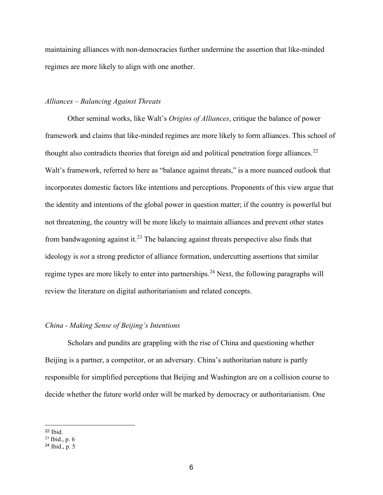maintaining alliances with non-democracies further undermine the assertion that like-minded regimes are more likely to align with one another.

# *Alliances – Balancing Against Threats*

Other seminal works, like Walt's *Origins of Alliances*, critique the balance of power framework and claims that like-minded regimes are more likely to form alliances. This school of thought also contradicts theories that foreign aid and political penetration forge alliances.<sup>[22](#page-10-0)</sup> Walt's framework, referred to here as "balance against threats," is a more nuanced outlook that incorporates domestic factors like intentions and perceptions. Proponents of this view argue that the identity and intentions of the global power in question matter; if the country is powerful but not threatening, the country will be more likely to maintain alliances and prevent other states from bandwagoning against it.<sup>[23](#page-10-1)</sup> The balancing against threats perspective also finds that ideology is *not* a strong predictor of alliance formation, undercutting assertions that similar regime types are more likely to enter into partnerships.<sup>[24](#page-10-2)</sup> Next, the following paragraphs will review the literature on digital authoritarianism and related concepts.

# *China - Making Sense of Beijing's Intentions*

Scholars and pundits are grappling with the rise of China and questioning whether Beijing is a partner, a competitor, or an adversary. China's authoritarian nature is partly responsible for simplified perceptions that Beijing and Washington are on a collision course to decide whether the future world order will be marked by democracy or authoritarianism. One

<span id="page-10-0"></span><sup>22</sup> Ibid.

<span id="page-10-1"></span><sup>23</sup> Ibid., p. 6

<span id="page-10-2"></span><sup>24</sup> Ibid., p. 5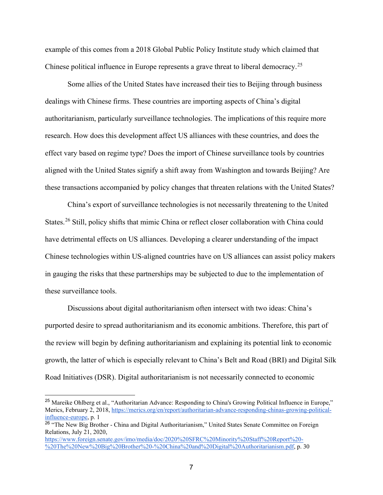example of this comes from a 2018 Global Public Policy Institute study which claimed that Chinese political influence in Europe represents a grave threat to liberal democracy.<sup>[25](#page-11-0)</sup>

Some allies of the United States have increased their ties to Beijing through business dealings with Chinese firms. These countries are importing aspects of China's digital authoritarianism, particularly surveillance technologies. The implications of this require more research. How does this development affect US alliances with these countries, and does the effect vary based on regime type? Does the import of Chinese surveillance tools by countries aligned with the United States signify a shift away from Washington and towards Beijing? Are these transactions accompanied by policy changes that threaten relations with the United States?

China's export of surveillance technologies is not necessarily threatening to the United States.<sup>[26](#page-11-1)</sup> Still, policy shifts that mimic China or reflect closer collaboration with China could have detrimental effects on US alliances. Developing a clearer understanding of the impact Chinese technologies within US-aligned countries have on US alliances can assist policy makers in gauging the risks that these partnerships may be subjected to due to the implementation of these surveillance tools.

Discussions about digital authoritarianism often intersect with two ideas: China's purported desire to spread authoritarianism and its economic ambitions. Therefore, this part of the review will begin by defining authoritarianism and explaining its potential link to economic growth, the latter of which is especially relevant to China's Belt and Road (BRI) and Digital Silk Road Initiatives (DSR). Digital authoritarianism is not necessarily connected to economic

<span id="page-11-0"></span><sup>&</sup>lt;sup>25</sup> Mareike Ohlberg et al., "Authoritarian Advance: Responding to China's Growing Political Influence in Europe," Merics, February 2, 2018[, https://merics.org/en/report/authoritarian-advance-responding-chinas-growing-political](https://merics.org/en/report/authoritarian-advance-responding-chinas-growing-political-influence-europe)[influence-europe,](https://merics.org/en/report/authoritarian-advance-responding-chinas-growing-political-influence-europe) p. 1

<span id="page-11-1"></span><sup>&</sup>lt;sup>26</sup> "The New Big Brother - China and Digital Authoritarianism," United States Senate Committee on Foreign Relations, July 21, 2020,

[https://www.foreign.senate.gov/imo/media/doc/2020%20SFRC%20Minority%20Staff%20Report%20-](https://www.foreign.senate.gov/imo/media/doc/2020%20SFRC%20Minority%20Staff%20Report%20-%20The%20New%20Big%20Brother%20-%20China%20and%20Digital%20Authoritarianism.pdf) [%20The%20New%20Big%20Brother%20-%20China%20and%20Digital%20Authoritarianism.pdf,](https://www.foreign.senate.gov/imo/media/doc/2020%20SFRC%20Minority%20Staff%20Report%20-%20The%20New%20Big%20Brother%20-%20China%20and%20Digital%20Authoritarianism.pdf) p. 30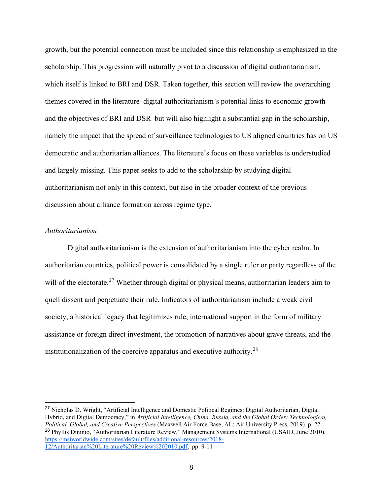growth, but the potential connection must be included since this relationship is emphasized in the scholarship. This progression will naturally pivot to a discussion of digital authoritarianism, which itself is linked to BRI and DSR. Taken together, this section will review the overarching themes covered in the literature–digital authoritarianism's potential links to economic growth and the objectives of BRI and DSR–but will also highlight a substantial gap in the scholarship, namely the impact that the spread of surveillance technologies to US aligned countries has on US democratic and authoritarian alliances. The literature's focus on these variables is understudied and largely missing. This paper seeks to add to the scholarship by studying digital authoritarianism not only in this context, but also in the broader context of the previous discussion about alliance formation across regime type.

# *Authoritarianism*

Digital authoritarianism is the extension of authoritarianism into the cyber realm. In authoritarian countries, political power is consolidated by a single ruler or party regardless of the will of the electorate.<sup>[27](#page-12-0)</sup> Whether through digital or physical means, authoritarian leaders aim to quell dissent and perpetuate their rule. Indicators of authoritarianism include a weak civil society, a historical legacy that legitimizes rule, international support in the form of military assistance or foreign direct investment, the promotion of narratives about grave threats, and the institutionalization of the coercive apparatus and executive authority.<sup>[28](#page-12-1)</sup>

<span id="page-12-1"></span><span id="page-12-0"></span><sup>&</sup>lt;sup>27</sup> Nicholas D. Wright, "Artificial Intelligence and Domestic Political Regimes: Digital Authoritarian, Digital Hybrid, and Digital Democracy," in *Artificial Intelligence, China, Russia, and the Global Order: Technological, Political, Global, and Creative Perspectives* (Maxwell Air Force Base, AL: Air University Press, 2019), p. 22 <sup>28</sup> Phyllis Dininio, "Authoritarian Literature Review," Management Systems International (USAID, June 2010), [https://msiworldwide.com/sites/default/files/additional-resources/2018-](https://msiworldwide.com/sites/default/files/additional-resources/2018-12/Authoritarian%20Literature%20Review%202010.pdf) [12/Authoritarian%20Literature%20Review%202010.pdf,](https://msiworldwide.com/sites/default/files/additional-resources/2018-12/Authoritarian%20Literature%20Review%202010.pdf) pp. 9-11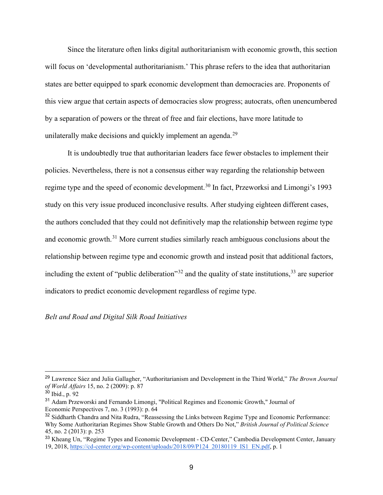Since the literature often links digital authoritarianism with economic growth, this section will focus on 'developmental authoritarianism.' This phrase refers to the idea that authoritarian states are better equipped to spark economic development than democracies are. Proponents of this view argue that certain aspects of democracies slow progress; autocrats, often unencumbered by a separation of powers or the threat of free and fair elections, have more latitude to unilaterally make decisions and quickly implement an agenda.<sup>[29](#page-13-0)</sup>

It is undoubtedly true that authoritarian leaders face fewer obstacles to implement their policies. Nevertheless, there is not a consensus either way regarding the relationship between regime type and the speed of economic development.<sup>[30](#page-13-1)</sup> In fact, Przeworksi and Limongi's 1993 study on this very issue produced inconclusive results. After studying eighteen different cases, the authors concluded that they could not definitively map the relationship between regime type and economic growth.<sup>[31](#page-13-2)</sup> More current studies similarly reach ambiguous conclusions about the relationship between regime type and economic growth and instead posit that additional factors, including the extent of "public deliberation"<sup>[32](#page-13-3)</sup> and the quality of state institutions,<sup>[33](#page-13-4)</sup> are superior indicators to predict economic development regardless of regime type.

# *Belt and Road and Digital Silk Road Initiatives*

<span id="page-13-0"></span><sup>29</sup> Lawrence Sáez and Julia Gallagher, "Authoritarianism and Development in the Third World," *The Brown Journal of World Affairs* 15, no. 2 (2009): p. 87

<span id="page-13-1"></span><sup>30</sup> Ibid., p. 92

<span id="page-13-2"></span><sup>31</sup> Adam Przeworski and Fernando Limongi, "Political Regimes and Economic Growth," Journal of Economic Perspectives 7, no. 3 (1993): p. 64

<span id="page-13-3"></span><sup>&</sup>lt;sup>32</sup> Siddharth Chandra and Nita Rudra, "Reassessing the Links between Regime Type and Economic Performance: Why Some Authoritarian Regimes Show Stable Growth and Others Do Not," *British Journal of Political Science* 45, no. 2 (2013): p. 253

<span id="page-13-4"></span><sup>&</sup>lt;sup>33</sup> Kheang Un, "Regime Types and Economic Development - CD-Center," Cambodia Development Center, January 19, 2018, [https://cd-center.org/wp-content/uploads/2018/09/P124\\_20180119\\_IS1\\_EN.pdf,](https://cd-center.org/wp-content/uploads/2018/09/P124_20180119_IS1_EN.pdf) p. 1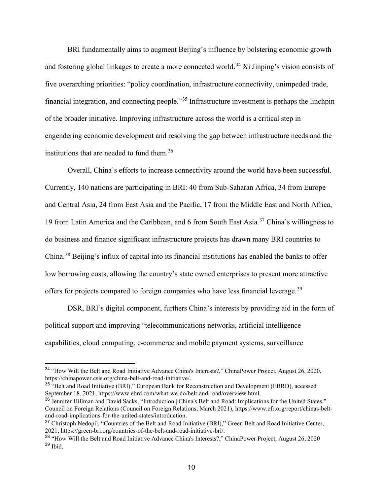BRI fundamentally aims to augment Beijing's influence by bolstering economic growth and fostering global linkages to create a more connected world.<sup>[34](#page-14-0)</sup> Xi Jinping's vision consists of five overarching priorities: "policy coordination, infrastructure connectivity, unimpeded trade, financial integration, and connecting people."<sup>[35](#page-14-1)</sup> Infrastructure investment is perhaps the linchpin of the broader initiative. Improving infrastructure across the world is a critical step in engendering economic development and resolving the gap between infrastructure needs and the institutions that are needed to fund them.<sup>[36](#page-14-2)</sup>

Overall, China's efforts to increase connectivity around the world have been successful. Currently, 140 nations are participating in BRI: 40 from Sub-Saharan Africa, 34 from Europe and Central Asia, 24 from East Asia and the Pacific, 17 from the Middle East and North Africa, 19 from Latin America and the Caribbean, and 6 from South East Asia.[37](#page-14-3) China's willingness to do business and finance significant infrastructure projects has drawn many BRI countries to China.[38](#page-14-4) Beijing's influx of capital into its financial institutions has enabled the banks to offer low borrowing costs, allowing the country's state owned enterprises to present more attractive offers for projects compared to foreign companies who have less financial leverage.<sup>[39](#page-14-5)</sup>

DSR, BRI's digital component, furthers China's interests by providing aid in the form of political support and improving "telecommunications networks, artificial intelligence capabilities, cloud computing, e-commerce and mobile payment systems, surveillance

<span id="page-14-0"></span><sup>34</sup> "How Will the Belt and Road Initiative Advance China's Interests?," ChinaPower Project, August 26, 2020, https://chinapower.csis.org/china-belt-and-road-initiative/.

<span id="page-14-1"></span><sup>&</sup>lt;sup>35</sup> "Belt and Road Initiative (BRI)," European Bank for Reconstruction and Development (EBRD), accessed September 18, 2021, https://www.ebrd.com/what-we-do/belt-and-road/overview.html.

<span id="page-14-2"></span><sup>&</sup>lt;sup>36</sup> Jennifer Hillman and David Sacks, "Introduction | China's Belt and Road: Implications for the United States," Council on Foreign Relations (Council on Foreign Relations, March 2021), https://www.cfr.org/report/chinas-beltand-road-implications-for-the-united-states/introduction.

<span id="page-14-3"></span><sup>&</sup>lt;sup>37</sup> Christoph Nedopil, "Countries of the Belt and Road Initiative (BRI)," Green Belt and Road Initiative Center, 2021, https://green-bri.org/countries-of-the-belt-and-road-initiative-bri/.

<span id="page-14-5"></span><span id="page-14-4"></span><sup>38</sup> "How Will the Belt and Road Initiative Advance China's Interests?," ChinaPower Project, August 26, 2020  $39$  Ibid.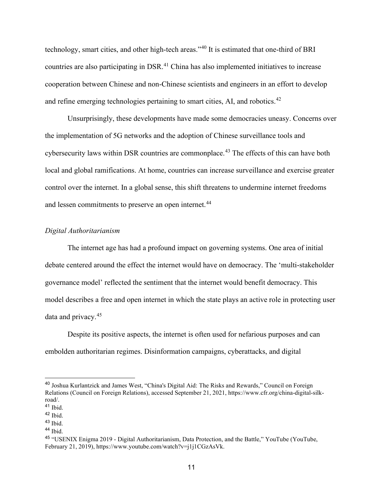technology, smart cities, and other high-tech areas."[40](#page-15-0) It is estimated that one-third of BRI countries are also participating in DSR.<sup>[41](#page-15-1)</sup> China has also implemented initiatives to increase cooperation between Chinese and non-Chinese scientists and engineers in an effort to develop and refine emerging technologies pertaining to smart cities, AI, and robotics.<sup>[42](#page-15-2)</sup>

Unsurprisingly, these developments have made some democracies uneasy. Concerns over the implementation of 5G networks and the adoption of Chinese surveillance tools and cybersecurity laws within DSR countries are commonplace.<sup>[43](#page-15-3)</sup> The effects of this can have both local and global ramifications. At home, countries can increase surveillance and exercise greater control over the internet. In a global sense, this shift threatens to undermine internet freedoms and lessen commitments to preserve an open internet.<sup>[44](#page-15-4)</sup>

# *Digital Authoritarianism*

The internet age has had a profound impact on governing systems. One area of initial debate centered around the effect the internet would have on democracy. The 'multi-stakeholder governance model' reflected the sentiment that the internet would benefit democracy. This model describes a free and open internet in which the state plays an active role in protecting user data and privacy.[45](#page-15-5)

Despite its positive aspects, the internet is often used for nefarious purposes and can embolden authoritarian regimes. Disinformation campaigns, cyberattacks, and digital

<span id="page-15-0"></span><sup>40</sup> Joshua Kurlantzick and James West, "China's Digital Aid: The Risks and Rewards," Council on Foreign Relations (Council on Foreign Relations), accessed September 21, 2021, https://www.cfr.org/china-digital-silkroad/.

<span id="page-15-1"></span><sup>41</sup> Ibid.

<span id="page-15-2"></span><sup>42</sup> Ibid.

<span id="page-15-3"></span><sup>43</sup> Ibid.

<span id="page-15-4"></span><sup>44</sup> Ibid.

<span id="page-15-5"></span><sup>45</sup> "USENIX Enigma 2019 - Digital Authoritarianism, Data Protection, and the Battle," YouTube (YouTube, February 21, 2019), https://www.youtube.com/watch?v=j1j1CGzAsVk.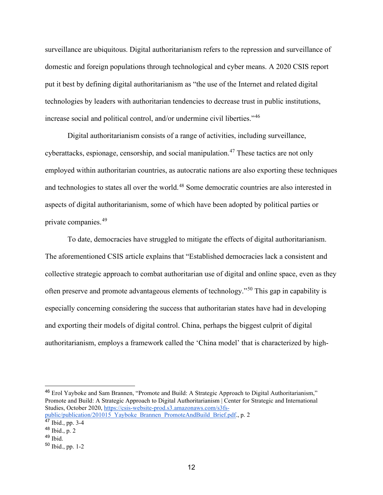surveillance are ubiquitous. Digital authoritarianism refers to the repression and surveillance of domestic and foreign populations through technological and cyber means. A 2020 CSIS report put it best by defining digital authoritarianism as "the use of the Internet and related digital technologies by leaders with authoritarian tendencies to decrease trust in public institutions, increase social and political control, and/or undermine civil liberties."[46](#page-16-0)

Digital authoritarianism consists of a range of activities, including surveillance, cyberattacks, espionage, censorship, and social manipulation.<sup>[47](#page-16-1)</sup> These tactics are not only employed within authoritarian countries, as autocratic nations are also exporting these techniques and technologies to states all over the world.<sup>[48](#page-16-2)</sup> Some democratic countries are also interested in aspects of digital authoritarianism, some of which have been adopted by political parties or private companies.[49](#page-16-3)

To date, democracies have struggled to mitigate the effects of digital authoritarianism. The aforementioned CSIS article explains that "Established democracies lack a consistent and collective strategic approach to combat authoritarian use of digital and online space, even as they often preserve and promote advantageous elements of technology."[50](#page-16-4) This gap in capability is especially concerning considering the success that authoritarian states have had in developing and exporting their models of digital control. China, perhaps the biggest culprit of digital authoritarianism, employs a framework called the 'China model' that is characterized by high-

<span id="page-16-0"></span><sup>46</sup> Erol Yayboke and Sam Brannen, "Promote and Build: A Strategic Approach to Digital Authoritarianism," Promote and Build: A Strategic Approach to Digital Authoritarianism | Center for Strategic and International Studies, October 2020, [https://csis-website-prod.s3.amazonaws.com/s3fs](https://csis-website-prod.s3.amazonaws.com/s3fs-public/publication/201015_Yayboke_Brannen_PromoteAndBuild_Brief.pdf)[public/publication/201015\\_Yayboke\\_Brannen\\_PromoteAndBuild\\_Brief.pdf.](https://csis-website-prod.s3.amazonaws.com/s3fs-public/publication/201015_Yayboke_Brannen_PromoteAndBuild_Brief.pdf), p. 2

<span id="page-16-1"></span> $47$  Ibid., pp. 3-4

<span id="page-16-2"></span><sup>48</sup> Ibid., p. 2

<span id="page-16-3"></span> $49$  Ibid.

<span id="page-16-4"></span><sup>50</sup> Ibid., pp. 1-2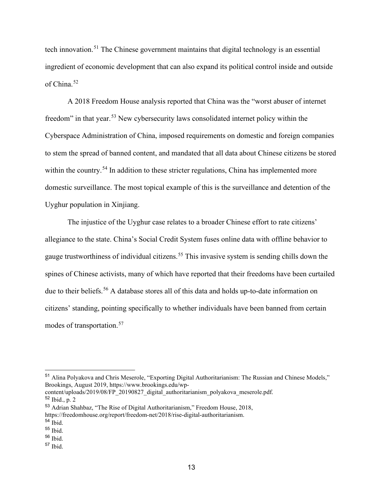tech innovation.[51](#page-17-0) The Chinese government maintains that digital technology is an essential ingredient of economic development that can also expand its political control inside and outside of China.<sup>[52](#page-17-1)</sup>

A 2018 Freedom House analysis reported that China was the "worst abuser of internet freedom" in that year.[53](#page-17-2) New cybersecurity laws consolidated internet policy within the Cyberspace Administration of China, imposed requirements on domestic and foreign companies to stem the spread of banned content, and mandated that all data about Chinese citizens be stored within the country.<sup>[54](#page-17-3)</sup> In addition to these stricter regulations, China has implemented more domestic surveillance. The most topical example of this is the surveillance and detention of the Uyghur population in Xinjiang.

The injustice of the Uyghur case relates to a broader Chinese effort to rate citizens' allegiance to the state. China's Social Credit System fuses online data with offline behavior to gauge trustworthiness of individual citizens.<sup>[55](#page-17-4)</sup> This invasive system is sending chills down the spines of Chinese activists, many of which have reported that their freedoms have been curtailed due to their beliefs.<sup>[56](#page-17-5)</sup> A database stores all of this data and holds up-to-date information on citizens' standing, pointing specifically to whether individuals have been banned from certain modes of transportation.[57](#page-17-6)

<span id="page-17-0"></span><sup>51</sup> Alina Polyakova and Chris Meserole, "Exporting Digital Authoritarianism: The Russian and Chinese Models," Brookings, August 2019, https://www.brookings.edu/wp-

<span id="page-17-1"></span>content/uploads/2019/08/FP\_20190827\_digital\_authoritarianism\_polyakova\_meserole.pdf. <sup>52</sup> Ibid., p. 2

<span id="page-17-2"></span><sup>53</sup> Adrian Shahbaz, "The Rise of Digital Authoritarianism," Freedom House, 2018, https://freedomhouse.org/report/freedom-net/2018/rise-digital-authoritarianism.

<span id="page-17-3"></span><sup>54</sup> Ibid.

<span id="page-17-4"></span><sup>55</sup> Ibid.

<span id="page-17-5"></span><sup>56</sup> Ibid.

<span id="page-17-6"></span><sup>57</sup> Ibid.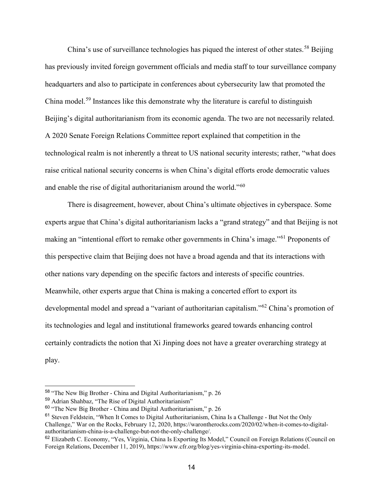China's use of surveillance technologies has piqued the interest of other states.<sup>[58](#page-18-0)</sup> Beijing has previously invited foreign government officials and media staff to tour surveillance company headquarters and also to participate in conferences about cybersecurity law that promoted the China model.[59](#page-18-1) Instances like this demonstrate why the literature is careful to distinguish Beijing's digital authoritarianism from its economic agenda. The two are not necessarily related. A 2020 Senate Foreign Relations Committee report explained that competition in the technological realm is not inherently a threat to US national security interests; rather, "what does raise critical national security concerns is when China's digital efforts erode democratic values and enable the rise of digital authoritarianism around the world."<sup>[60](#page-18-2)</sup>

There is disagreement, however, about China's ultimate objectives in cyberspace. Some experts argue that China's digital authoritarianism lacks a "grand strategy" and that Beijing is not making an "intentional effort to remake other governments in China's image."[61](#page-18-3) Proponents of this perspective claim that Beijing does not have a broad agenda and that its interactions with other nations vary depending on the specific factors and interests of specific countries. Meanwhile, other experts argue that China is making a concerted effort to export its developmental model and spread a "variant of authoritarian capitalism."[62](#page-18-4) China's promotion of its technologies and legal and institutional frameworks geared towards enhancing control certainly contradicts the notion that Xi Jinping does not have a greater overarching strategy at play.

<span id="page-18-0"></span><sup>58</sup> "The New Big Brother - China and Digital Authoritarianism," p. 26

<span id="page-18-1"></span><sup>59</sup> Adrian Shahbaz, "The Rise of Digital Authoritarianism"

<span id="page-18-2"></span><sup>60</sup> "The New Big Brother - China and Digital Authoritarianism," p. 26

<span id="page-18-3"></span><sup>61</sup> Steven Feldstein, "When It Comes to Digital Authoritarianism, China Is a Challenge - But Not the Only Challenge," War on the Rocks, February 12, 2020, https://warontherocks.com/2020/02/when-it-comes-to-digitalauthoritarianism-china-is-a-challenge-but-not-the-only-challenge/.

<span id="page-18-4"></span><sup>62</sup> Elizabeth C. Economy, "Yes, Virginia, China Is Exporting Its Model," Council on Foreign Relations (Council on Foreign Relations, December 11, 2019), https://www.cfr.org/blog/yes-virginia-china-exporting-its-model.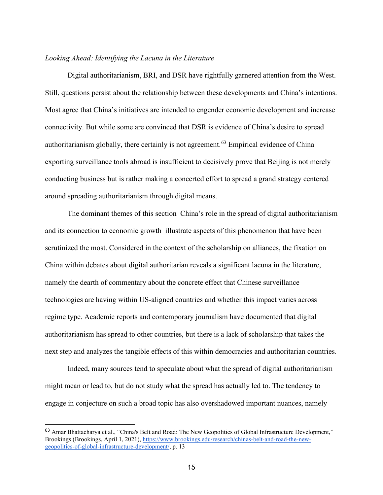# *Looking Ahead: Identifying the Lacuna in the Literature*

Digital authoritarianism, BRI, and DSR have rightfully garnered attention from the West. Still, questions persist about the relationship between these developments and China's intentions. Most agree that China's initiatives are intended to engender economic development and increase connectivity. But while some are convinced that DSR is evidence of China's desire to spread authoritarianism globally, there certainly is not agreement.<sup>[63](#page-19-0)</sup> Empirical evidence of China exporting surveillance tools abroad is insufficient to decisively prove that Beijing is not merely conducting business but is rather making a concerted effort to spread a grand strategy centered around spreading authoritarianism through digital means.

The dominant themes of this section–China's role in the spread of digital authoritarianism and its connection to economic growth–illustrate aspects of this phenomenon that have been scrutinized the most. Considered in the context of the scholarship on alliances, the fixation on China within debates about digital authoritarian reveals a significant lacuna in the literature, namely the dearth of commentary about the concrete effect that Chinese surveillance technologies are having within US-aligned countries and whether this impact varies across regime type. Academic reports and contemporary journalism have documented that digital authoritarianism has spread to other countries, but there is a lack of scholarship that takes the next step and analyzes the tangible effects of this within democracies and authoritarian countries.

Indeed, many sources tend to speculate about what the spread of digital authoritarianism might mean or lead to, but do not study what the spread has actually led to. The tendency to engage in conjecture on such a broad topic has also overshadowed important nuances, namely

<span id="page-19-0"></span><sup>63</sup> Amar Bhattacharya et al., "China's Belt and Road: The New Geopolitics of Global Infrastructure Development," Brookings (Brookings, April 1, 2021), [https://www.brookings.edu/research/chinas-belt-and-road-the-new](https://www.brookings.edu/research/chinas-belt-and-road-the-new-geopolitics-of-global-infrastructure-development/)[geopolitics-of-global-infrastructure-development/,](https://www.brookings.edu/research/chinas-belt-and-road-the-new-geopolitics-of-global-infrastructure-development/) p. 13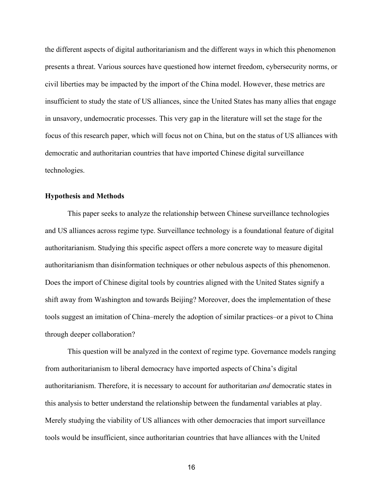the different aspects of digital authoritarianism and the different ways in which this phenomenon presents a threat. Various sources have questioned how internet freedom, cybersecurity norms, or civil liberties may be impacted by the import of the China model. However, these metrics are insufficient to study the state of US alliances, since the United States has many allies that engage in unsavory, undemocratic processes. This very gap in the literature will set the stage for the focus of this research paper, which will focus not on China, but on the status of US alliances with democratic and authoritarian countries that have imported Chinese digital surveillance technologies.

# **Hypothesis and Methods**

This paper seeks to analyze the relationship between Chinese surveillance technologies and US alliances across regime type. Surveillance technology is a foundational feature of digital authoritarianism. Studying this specific aspect offers a more concrete way to measure digital authoritarianism than disinformation techniques or other nebulous aspects of this phenomenon. Does the import of Chinese digital tools by countries aligned with the United States signify a shift away from Washington and towards Beijing? Moreover, does the implementation of these tools suggest an imitation of China–merely the adoption of similar practices–or a pivot to China through deeper collaboration?

This question will be analyzed in the context of regime type. Governance models ranging from authoritarianism to liberal democracy have imported aspects of China's digital authoritarianism. Therefore, it is necessary to account for authoritarian *and* democratic states in this analysis to better understand the relationship between the fundamental variables at play. Merely studying the viability of US alliances with other democracies that import surveillance tools would be insufficient, since authoritarian countries that have alliances with the United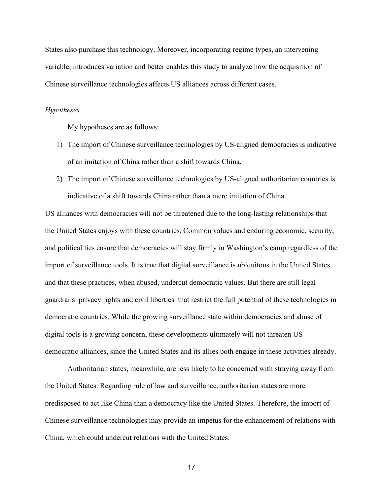States also purchase this technology. Moreover, incorporating regime types, an intervening variable, introduces variation and better enables this study to analyze how the acquisition of Chinese surveillance technologies affects US alliances across different cases.

# *Hypotheses*

My hypotheses are as follows:

- 1) The import of Chinese surveillance technologies by US-aligned democracies is indicative of an imitation of China rather than a shift towards China.
- 2) The import of Chinese surveillance technologies by US-aligned authoritarian countries is indicative of a shift towards China rather than a mere imitation of China.

US alliances with democracies will not be threatened due to the long-lasting relationships that the United States enjoys with these countries. Common values and enduring economic, security, and political ties ensure that democracies will stay firmly in Washington's camp regardless of the import of surveillance tools. It is true that digital surveillance is ubiquitous in the United States and that these practices, when abused, undercut democratic values. But there are still legal guardrails–privacy rights and civil liberties–that restrict the full potential of these technologies in democratic countries. While the growing surveillance state within democracies and abuse of digital tools is a growing concern, these developments ultimately will not threaten US democratic alliances, since the United States and its allies both engage in these activities already.

Authoritarian states, meanwhile, are less likely to be concerned with straying away from the United States. Regarding rule of law and surveillance, authoritarian states are more predisposed to act like China than a democracy like the United States. Therefore, the import of Chinese surveillance technologies may provide an impetus for the enhancement of relations with China, which could undercut relations with the United States.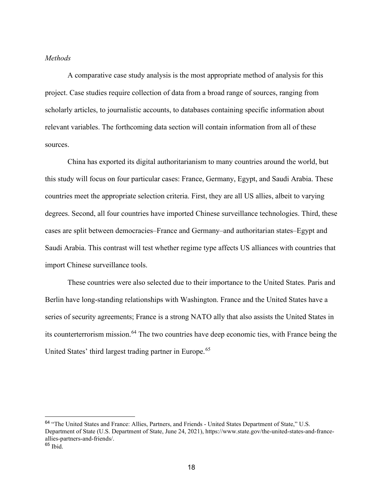#### *Methods*

A comparative case study analysis is the most appropriate method of analysis for this project. Case studies require collection of data from a broad range of sources, ranging from scholarly articles, to journalistic accounts, to databases containing specific information about relevant variables. The forthcoming data section will contain information from all of these sources.

China has exported its digital authoritarianism to many countries around the world, but this study will focus on four particular cases: France, Germany, Egypt, and Saudi Arabia. These countries meet the appropriate selection criteria. First, they are all US allies, albeit to varying degrees. Second, all four countries have imported Chinese surveillance technologies. Third, these cases are split between democracies–France and Germany–and authoritarian states–Egypt and Saudi Arabia. This contrast will test whether regime type affects US alliances with countries that import Chinese surveillance tools.

These countries were also selected due to their importance to the United States. Paris and Berlin have long-standing relationships with Washington. France and the United States have a series of security agreements; France is a strong NATO ally that also assists the United States in its counterterrorism mission.[64](#page-22-0) The two countries have deep economic ties, with France being the United States' third largest trading partner in Europe.<sup>[65](#page-22-1)</sup>

<span id="page-22-1"></span><span id="page-22-0"></span><sup>&</sup>lt;sup>64</sup> "The United States and France: Allies, Partners, and Friends - United States Department of State," U.S. Department of State (U.S. Department of State, June 24, 2021), https://www.state.gov/the-united-states-and-franceallies-partners-and-friends/.  $65$  Ibid.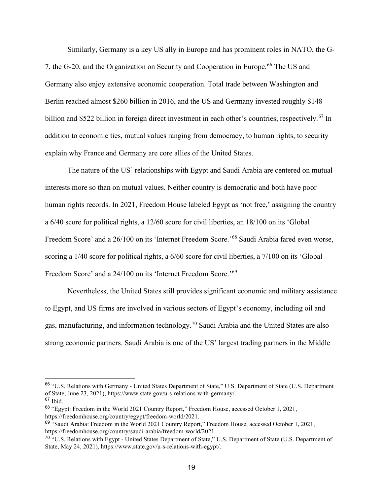Similarly, Germany is a key US ally in Europe and has prominent roles in NATO, the G-7, the G-20, and the Organization on Security and Cooperation in Europe.<sup>[66](#page-23-0)</sup> The US and Germany also enjoy extensive economic cooperation. Total trade between Washington and Berlin reached almost \$260 billion in 2016, and the US and Germany invested roughly \$148 billion and \$522 billion in foreign direct investment in each other's countries, respectively.<sup>[67](#page-23-1)</sup> In addition to economic ties, mutual values ranging from democracy, to human rights, to security explain why France and Germany are core allies of the United States.

The nature of the US' relationships with Egypt and Saudi Arabia are centered on mutual interests more so than on mutual values. Neither country is democratic and both have poor human rights records. In 2021, Freedom House labeled Egypt as 'not free,' assigning the country a 6/40 score for political rights, a 12/60 score for civil liberties, an 18/100 on its 'Global Freedom Score' and a 26/100 on its 'Internet Freedom Score.'[68](#page-23-2) Saudi Arabia fared even worse, scoring a 1/40 score for political rights, a 6/60 score for civil liberties, a 7/100 on its 'Global Freedom Score' and a 24/100 on its 'Internet Freedom Score.'[69](#page-23-3)

Nevertheless, the United States still provides significant economic and military assistance to Egypt, and US firms are involved in various sectors of Egypt's economy, including oil and gas, manufacturing, and information technology. [70](#page-23-4) Saudi Arabia and the United States are also strong economic partners. Saudi Arabia is one of the US' largest trading partners in the Middle

<span id="page-23-0"></span><sup>66</sup> "U.S. Relations with Germany - United States Department of State," U.S. Department of State (U.S. Department of State, June 23, 2021), https://www.state.gov/u-s-relations-with-germany/.

<span id="page-23-1"></span> $67$  Ibid.

<span id="page-23-2"></span><sup>68</sup> "Egypt: Freedom in the World 2021 Country Report," Freedom House, accessed October 1, 2021, https://freedomhouse.org/country/egypt/freedom-world/2021.

<span id="page-23-3"></span><sup>&</sup>lt;sup>69</sup> "Saudi Arabia: Freedom in the World 2021 Country Report," Freedom House, accessed October 1, 2021, https://freedomhouse.org/country/saudi-arabia/freedom-world/2021.

<span id="page-23-4"></span><sup>70</sup> "U.S. Relations with Egypt - United States Department of State," U.S. Department of State (U.S. Department of State, May 24, 2021), https://www.state.gov/u-s-relations-with-egypt/.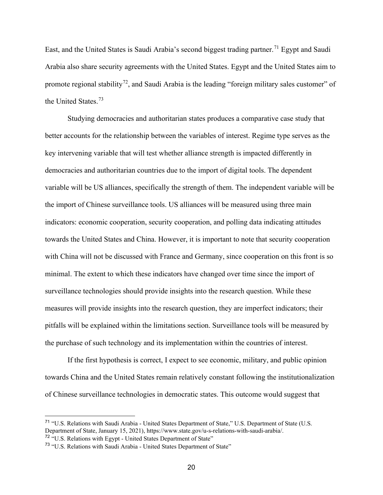East, and the United States is Saudi Arabia's second biggest trading partner.<sup>[71](#page-24-0)</sup> Egypt and Saudi Arabia also share security agreements with the United States. Egypt and the United States aim to promote regional stability<sup>72</sup>, and Saudi Arabia is the leading "foreign military sales customer" of the United States.[73](#page-24-2)

Studying democracies and authoritarian states produces a comparative case study that better accounts for the relationship between the variables of interest. Regime type serves as the key intervening variable that will test whether alliance strength is impacted differently in democracies and authoritarian countries due to the import of digital tools. The dependent variable will be US alliances, specifically the strength of them. The independent variable will be the import of Chinese surveillance tools. US alliances will be measured using three main indicators: economic cooperation, security cooperation, and polling data indicating attitudes towards the United States and China. However, it is important to note that security cooperation with China will not be discussed with France and Germany, since cooperation on this front is so minimal. The extent to which these indicators have changed over time since the import of surveillance technologies should provide insights into the research question. While these measures will provide insights into the research question, they are imperfect indicators; their pitfalls will be explained within the limitations section. Surveillance tools will be measured by the purchase of such technology and its implementation within the countries of interest.

If the first hypothesis is correct, I expect to see economic, military, and public opinion towards China and the United States remain relatively constant following the institutionalization of Chinese surveillance technologies in democratic states. This outcome would suggest that

<span id="page-24-0"></span><sup>71</sup> "U.S. Relations with Saudi Arabia - United States Department of State," U.S. Department of State (U.S. Department of State, January 15, 2021), https://www.state.gov/u-s-relations-with-saudi-arabia/. <sup>72</sup> "U.S. Relations with Egypt - United States Department of State"

<span id="page-24-1"></span>

<span id="page-24-2"></span><sup>&</sup>lt;sup>73</sup> "U.S. Relations with Saudi Arabia - United States Department of State"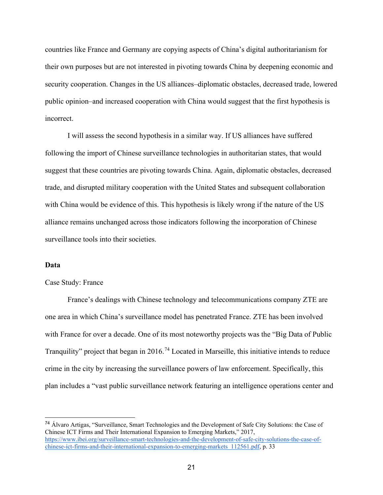countries like France and Germany are copying aspects of China's digital authoritarianism for their own purposes but are not interested in pivoting towards China by deepening economic and security cooperation. Changes in the US alliances–diplomatic obstacles, decreased trade, lowered public opinion–and increased cooperation with China would suggest that the first hypothesis is incorrect.

I will assess the second hypothesis in a similar way. If US alliances have suffered following the import of Chinese surveillance technologies in authoritarian states, that would suggest that these countries are pivoting towards China. Again, diplomatic obstacles, decreased trade, and disrupted military cooperation with the United States and subsequent collaboration with China would be evidence of this. This hypothesis is likely wrong if the nature of the US alliance remains unchanged across those indicators following the incorporation of Chinese surveillance tools into their societies.

#### **Data**

#### Case Study: France

France's dealings with Chinese technology and telecommunications company ZTE are one area in which China's surveillance model has penetrated France. ZTE has been involved with France for over a decade. One of its most noteworthy projects was the "Big Data of Public Tranquility" project that began in 2016.<sup>[74](#page-25-0)</sup> Located in Marseille, this initiative intends to reduce crime in the city by increasing the surveillance powers of law enforcement. Specifically, this plan includes a "vast public surveillance network featuring an intelligence operations center and

<span id="page-25-0"></span><sup>74</sup> Álvaro Artigas, "Surveillance, Smart Technologies and the Development of Safe City Solutions: the Case of Chinese ICT Firms and Their International Expansion to Emerging Markets," 2017, [https://www.ibei.org/surveillance-smart-technologies-and-the-development-of-safe-city-solutions-the-case-of](https://www.ibei.org/surveillance-smart-technologies-and-the-development-of-safe-city-solutions-the-case-of-chinese-ict-firms-and-their-international-expansion-to-emerging-markets_112561.pdf)[chinese-ict-firms-and-their-international-expansion-to-emerging-markets\\_112561.pdf,](https://www.ibei.org/surveillance-smart-technologies-and-the-development-of-safe-city-solutions-the-case-of-chinese-ict-firms-and-their-international-expansion-to-emerging-markets_112561.pdf) p. 33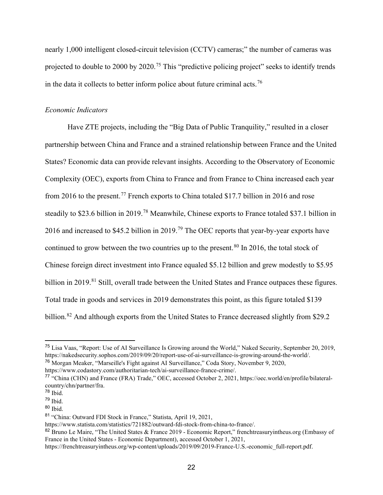nearly 1,000 intelligent closed-circuit television (CCTV) cameras;" the number of cameras was projected to double to 2000 by 2020.[75](#page-26-0) This "predictive policing project" seeks to identify trends in the data it collects to better inform police about future criminal acts.<sup>[76](#page-26-1)</sup>

# *Economic Indicators*

Have ZTE projects, including the "Big Data of Public Tranquility," resulted in a closer partnership between China and France and a strained relationship between France and the United States? Economic data can provide relevant insights. According to the Observatory of Economic Complexity (OEC), exports from China to France and from France to China increased each year from 2016 to the present.<sup>[77](#page-26-2)</sup> French exports to China totaled \$17.7 billion in 2016 and rose steadily to \$23.6 billion in 2019.<sup>[78](#page-26-3)</sup> Meanwhile, Chinese exports to France totaled \$37.1 billion in 2016 and increased to \$45.2 billion in 2019.<sup>[79](#page-26-4)</sup> The OEC reports that year-by-year exports have continued to grow between the two countries up to the present.<sup>[80](#page-26-5)</sup> In 2016, the total stock of Chinese foreign direct investment into France equaled \$5.12 billion and grew modestly to \$5.95 billion in 2019.<sup>[81](#page-26-6)</sup> Still, overall trade between the United States and France outpaces these figures. Total trade in goods and services in 2019 demonstrates this point, as this figure totaled \$139 billion.<sup>[82](#page-26-7)</sup> And although exports from the United States to France decreased slightly from \$29.2

<span id="page-26-0"></span><sup>75</sup> Lisa Vaas, "Report: Use of AI Surveillance Is Growing around the World," Naked Security, September 20, 2019, https://nakedsecurity.sophos.com/2019/09/20/report-use-of-ai-surveillance-is-growing-around-the-world/.

<span id="page-26-1"></span><sup>76</sup> Morgan Meaker, "Marseille's Fight against AI Surveillance," Coda Story, November 9, 2020,

https://www.codastory.com/authoritarian-tech/ai-surveillance-france-crime/.

<span id="page-26-2"></span><sup>77</sup> "China (CHN) and France (FRA) Trade," OEC, accessed October 2, 2021, https://oec.world/en/profile/bilateralcountry/chn/partner/fra.

<span id="page-26-3"></span><sup>78</sup> Ibid.

<span id="page-26-4"></span> $79$  Ibid.

<span id="page-26-5"></span><sup>80</sup> Ibid.

<span id="page-26-6"></span><sup>81</sup> "China: Outward FDI Stock in France," Statista, April 19, 2021,

https://www.statista.com/statistics/721882/outward-fdi-stock-from-china-to-france/.

<span id="page-26-7"></span><sup>82</sup> Bruno Le Maire, "The United States & France 2019 - Economic Report," frenchtreasuryintheus.org (Embassy of France in the United States - Economic Department), accessed October 1, 2021,

https://frenchtreasuryintheus.org/wp-content/uploads/2019/09/2019-France-U.S.-economic\_full-report.pdf.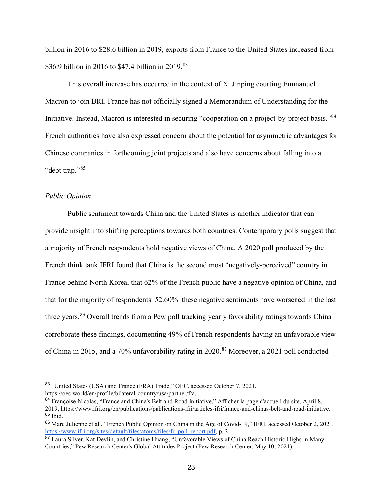billion in 2016 to \$28.6 billion in 2019, exports from France to the United States increased from \$36.9 billion in 2016 to \$47.4 billion in 2019.<sup>[83](#page-27-0)</sup>

This overall increase has occurred in the context of Xi Jinping courting Emmanuel Macron to join BRI. France has not officially signed a Memorandum of Understanding for the Initiative. Instead, Macron is interested in securing "cooperation on a project-by-project basis."[84](#page-27-1) French authorities have also expressed concern about the potential for asymmetric advantages for Chinese companies in forthcoming joint projects and also have concerns about falling into a "debt trap."[85](#page-27-2)

# *Public Opinion*

Public sentiment towards China and the United States is another indicator that can provide insight into shifting perceptions towards both countries. Contemporary polls suggest that a majority of French respondents hold negative views of China. A 2020 poll produced by the French think tank IFRI found that China is the second most "negatively-perceived" country in France behind North Korea, that 62% of the French public have a negative opinion of China, and that for the majority of respondents–52.60%–these negative sentiments have worsened in the last three years.<sup>[86](#page-27-3)</sup> Overall trends from a Pew poll tracking yearly favorability ratings towards China corroborate these findings, documenting 49% of French respondents having an unfavorable view of China in 2015, and a 70% unfavorability rating in 2020.<sup>[87](#page-27-4)</sup> Moreover, a 2021 poll conducted

<span id="page-27-0"></span><sup>83</sup> "United States (USA) and France (FRA) Trade," OEC, accessed October 7, 2021,

https://oec.world/en/profile/bilateral-country/usa/partner/fra.

<span id="page-27-1"></span><sup>&</sup>lt;sup>84</sup> Françoise Nicolas, "France and China's Belt and Road Initiative," Afficher la page d'accueil du site, April 8, 2019, https://www.ifri.org/en/publications/publications-ifri/articles-ifri/france-and-chinas-belt-and-road-initiative. <sup>85</sup> Ibid.

<span id="page-27-3"></span><span id="page-27-2"></span><sup>86</sup> Marc Julienne et al., "French Public Opinion on China in the Age of Covid-19," IFRI, accessed October 2, 2021, [https://www.ifri.org/sites/default/files/atoms/files/fr\\_poll\\_report.pdf,](https://www.ifri.org/sites/default/files/atoms/files/fr_poll_report.pdf) p. 2

<span id="page-27-4"></span><sup>&</sup>lt;sup>87</sup> Laura Silver, Kat Devlin, and Christine Huang, "Unfavorable Views of China Reach Historic Highs in Many Countries," Pew Research Center's Global Attitudes Project (Pew Research Center, May 10, 2021),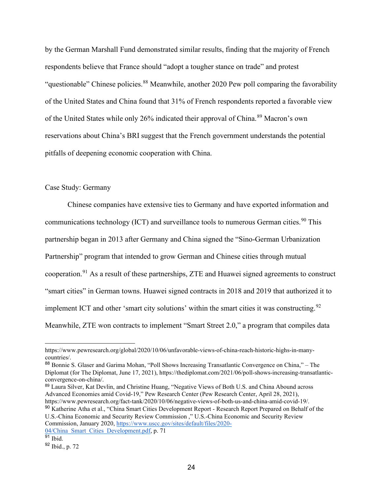by the German Marshall Fund demonstrated similar results, finding that the majority of French respondents believe that France should "adopt a tougher stance on trade" and protest "questionable" Chinese policies.<sup>[88](#page-28-0)</sup> Meanwhile, another 2020 Pew poll comparing the favorability of the United States and China found that 31% of French respondents reported a favorable view of the United States while only 26% indicated their approval of China.<sup>[89](#page-28-1)</sup> Macron's own reservations about China's BRI suggest that the French government understands the potential pitfalls of deepening economic cooperation with China.

#### Case Study: Germany

Chinese companies have extensive ties to Germany and have exported information and communications technology (ICT) and surveillance tools to numerous German cities.<sup>[90](#page-28-2)</sup> This partnership began in 2013 after Germany and China signed the "Sino-German Urbanization Partnership" program that intended to grow German and Chinese cities through mutual cooperation.[91](#page-28-3) As a result of these partnerships, ZTE and Huawei signed agreements to construct "smart cities" in German towns. Huawei signed contracts in 2018 and 2019 that authorized it to implement ICT and other 'smart city solutions' within the smart cities it was constructing.  $92$ Meanwhile, ZTE won contracts to implement "Smart Street 2.0," a program that compiles data

<span id="page-28-1"></span><sup>89</sup> Laura Silver, Kat Devlin, and Christine Huang, "Negative Views of Both U.S. and China Abound across Advanced Economies amid Covid-19," Pew Research Center (Pew Research Center, April 28, 2021), https://www.pewresearch.org/fact-tank/2020/10/06/negative-views-of-both-us-and-china-amid-covid-19/.

<span id="page-28-2"></span><sup>90</sup> Katherine Atha et al., "China Smart Cities Development Report - Research Report Prepared on Behalf of the U.S.-China Economic and Security Review Commission ," U.S.-China Economic and Security Review Commission, January 2020, [https://www.uscc.gov/sites/default/files/2020-](https://www.uscc.gov/sites/default/files/2020-04/China_Smart_Cities_Development.pdf) [04/China\\_Smart\\_Cities\\_Development.pdf,](https://www.uscc.gov/sites/default/files/2020-04/China_Smart_Cities_Development.pdf) p. 71

https://www.pewresearch.org/global/2020/10/06/unfavorable-views-of-china-reach-historic-highs-in-manycountries/.

<span id="page-28-0"></span><sup>88</sup> Bonnie S. Glaser and Garima Mohan, "Poll Shows Increasing Transatlantic Convergence on China," – The Diplomat (for The Diplomat, June 17, 2021), https://thediplomat.com/2021/06/poll-shows-increasing-transatlanticconvergence-on-china/.

<span id="page-28-3"></span> $91$  Ibid.

<span id="page-28-4"></span><sup>92</sup> Ibid., p. 72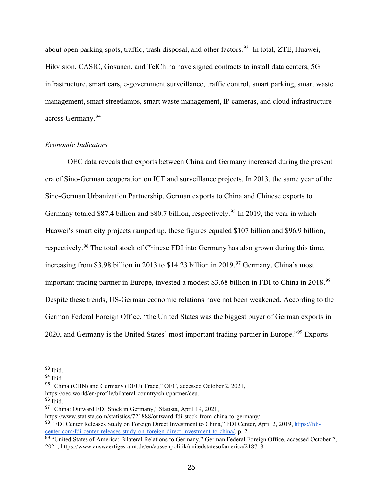about open parking spots, traffic, trash disposal, and other factors.<sup>93</sup> In total, ZTE, Huawei, Hikvision, CASIC, Gosuncn, and TelChina have signed contracts to install data centers, 5G infrastructure, smart cars, e-government surveillance, traffic control, smart parking, smart waste management, smart streetlamps, smart waste management, IP cameras, and cloud infrastructure across Germany.[94](#page-29-1)

# *Economic Indicators*

OEC data reveals that exports between China and Germany increased during the present era of Sino-German cooperation on ICT and surveillance projects. In 2013, the same year of the Sino-German Urbanization Partnership, German exports to China and Chinese exports to Germany totaled \$87.4 billion and \$80.7 billion, respectively.<sup>[95](#page-29-2)</sup> In 2019, the year in which Huawei's smart city projects ramped up, these figures equaled \$107 billion and \$96.9 billion, respectively.[96](#page-29-3) The total stock of Chinese FDI into Germany has also grown during this time, increasing from \$3.98 billion in 2013 to \$14.23 billion in 2019.<sup>[97](#page-29-4)</sup> Germany, China's most important trading partner in Europe, invested a modest \$3.68 billion in FDI to China in 2018.<sup>[98](#page-29-5)</sup> Despite these trends, US-German economic relations have not been weakened. According to the German Federal Foreign Office, "the United States was the biggest buyer of German exports in 2020, and Germany is the United States' most important trading partner in Europe."[99](#page-29-6) Exports

<span id="page-29-0"></span> $93$  Ibid.

<span id="page-29-1"></span> $94$  Ibid.

<span id="page-29-2"></span><sup>95</sup> "China (CHN) and Germany (DEU) Trade," OEC, accessed October 2, 2021,

https://oec.world/en/profile/bilateral-country/chn/partner/deu.

<span id="page-29-3"></span><sup>96</sup> Ibid.

<span id="page-29-4"></span><sup>97</sup> "China: Outward FDI Stock in Germany," Statista, April 19, 2021,

https://www.statista.com/statistics/721888/outward-fdi-stock-from-china-to-germany/.

<span id="page-29-5"></span><sup>98 &</sup>quot;FDI Center Releases Study on Foreign Direct Investment to China," FDI Center, April 2, 2019, [https://fdi](https://fdi-center.com/fdi-center-releases-study-on-foreign-direct-investment-to-china/)[center.com/fdi-center-releases-study-on-foreign-direct-investment-to-china/,](https://fdi-center.com/fdi-center-releases-study-on-foreign-direct-investment-to-china/) p. 2

<span id="page-29-6"></span><sup>99 &</sup>quot;United States of America: Bilateral Relations to Germany," German Federal Foreign Office, accessed October 2, 2021, https://www.auswaertiges-amt.de/en/aussenpolitik/unitedstatesofamerica/218718.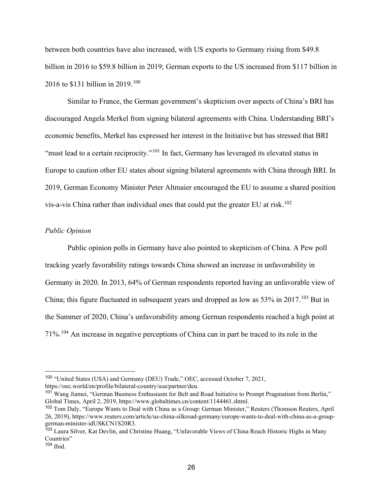between both countries have also increased, with US exports to Germany rising from \$49.8 billion in 2016 to \$59.8 billion in 2019; German exports to the US increased from \$117 billion in 2016 to \$131 billion in 2019.[100](#page-30-0)

Similar to France, the German government's skepticism over aspects of China's BRI has discouraged Angela Merkel from signing bilateral agreements with China. Understanding BRI's economic benefits, Merkel has expressed her interest in the Initiative but has stressed that BRI "must lead to a certain reciprocity."<sup>[101](#page-30-1)</sup> In fact, Germany has leveraged its elevated status in Europe to caution other EU states about signing bilateral agreements with China through BRI. In 2019, German Economy Minister Peter Altmaier encouraged the EU to assume a shared position vis-a-vis China rather than individual ones that could put the greater EU at risk.<sup>[102](#page-30-2)</sup>

# *Public Opinion*

Public opinion polls in Germany have also pointed to skepticism of China. A Pew poll tracking yearly favorability ratings towards China showed an increase in unfavorability in Germany in 2020. In 2013, 64% of German respondents reported having an unfavorable view of China; this figure fluctuated in subsequent years and dropped as low as 53% in 2017.[103](#page-30-3) But in the Summer of 2020, China's unfavorability among German respondents reached a high point at 71%.[104](#page-30-4) An increase in negative perceptions of China can in part be traced to its role in the

<span id="page-30-0"></span><sup>100</sup> "United States (USA) and Germany (DEU) Trade," OEC, accessed October 7, 2021, https://oec.world/en/profile/bilateral-country/usa/partner/deu.

<span id="page-30-1"></span><sup>101</sup> Wang Jiamei, "German Business Enthusiasm for Belt and Road Initiative to Prompt Pragmatism from Berlin," Global Times, April 2, 2019, https://www.globaltimes.cn/content/1144461.shtml.

<span id="page-30-2"></span><sup>102</sup> Tom Daly, "Europe Wants to Deal with China as a Group: German Minister," Reuters (Thomson Reuters, April 26, 2019), https://www.reuters.com/article/us-china-silkroad-germany/europe-wants-to-deal-with-china-as-a-groupgerman-minister-idUSKCN1S20R3.

<span id="page-30-3"></span><sup>&</sup>lt;sup>103</sup> Laura Silver, Kat Devlin, and Christine Huang, "Unfavorable Views of China Reach Historic Highs in Many Countries"

<span id="page-30-4"></span> $104$  Ibid.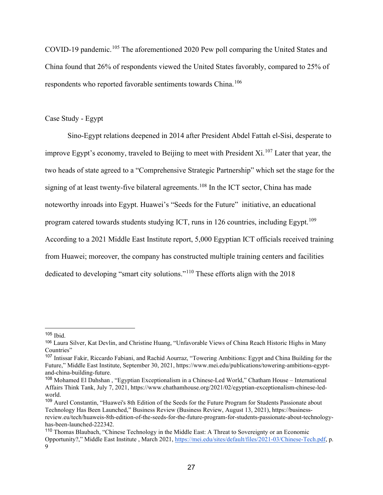COVID-19 pandemic.<sup>[105](#page-31-0)</sup> The aforementioned 2020 Pew poll comparing the United States and China found that 26% of respondents viewed the United States favorably, compared to 25% of respondents who reported favorable sentiments towards China.<sup>[106](#page-31-1)</sup>

# Case Study - Egypt

Sino-Egypt relations deepened in 2014 after President Abdel Fattah el-Sisi, desperate to improve Egypt's economy, traveled to Beijing to meet with President Xi.<sup>[107](#page-31-2)</sup> Later that year, the two heads of state agreed to a "Comprehensive Strategic Partnership" which set the stage for the signing of at least twenty-five bilateral agreements.<sup>[108](#page-31-3)</sup> In the ICT sector, China has made noteworthy inroads into Egypt. Huawei's "Seeds for the Future" initiative, an educational program catered towards students studying ICT, runs in 126 countries, including Egypt.<sup>[109](#page-31-4)</sup> According to a 2021 Middle East Institute report, 5,000 Egyptian ICT officials received training from Huawei; moreover, the company has constructed multiple training centers and facilities dedicated to developing "smart city solutions."[110](#page-31-5) These efforts align with the 2018

<span id="page-31-0"></span><sup>105</sup> Ibid.

<span id="page-31-1"></span><sup>106</sup> Laura Silver, Kat Devlin, and Christine Huang, "Unfavorable Views of China Reach Historic Highs in Many Countries"

<span id="page-31-2"></span><sup>107</sup> Intissar Fakir, Riccardo Fabiani, and Rachid Aourraz, "Towering Ambitions: Egypt and China Building for the Future," Middle East Institute, September 30, 2021, https://www.mei.edu/publications/towering-ambitions-egyptand-china-building-future.

<span id="page-31-3"></span><sup>108</sup> Mohamed El Dahshan , "Egyptian Exceptionalism in a Chinese-Led World," Chatham House – International Affairs Think Tank, July 7, 2021, https://www.chathamhouse.org/2021/02/egyptian-exceptionalism-chinese-ledworld.

<span id="page-31-4"></span><sup>109</sup> Aurel Constantin, "Huawei's 8th Edition of the Seeds for the Future Program for Students Passionate about Technology Has Been Launched," Business Review (Business Review, August 13, 2021), https://businessreview.eu/tech/huaweis-8th-edition-of-the-seeds-for-the-future-program-for-students-passionate-about-technologyhas-been-launched-222342.

<span id="page-31-5"></span><sup>110</sup> Thomas Blaubach, "Chinese Technology in the Middle East: A Threat to Sovereignty or an Economic Opportunity?," Middle East Institute , March 2021[, https://mei.edu/sites/default/files/2021-03/Chinese-Tech.pdf,](https://mei.edu/sites/default/files/2021-03/Chinese-Tech.pdf) p.  $\Omega$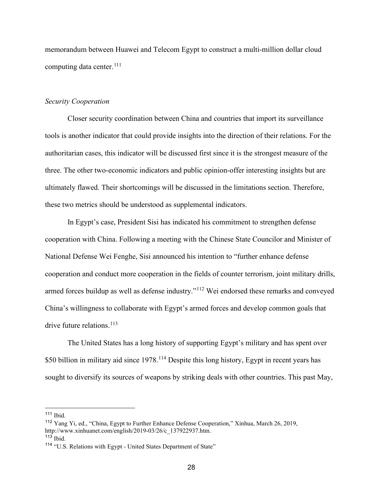memorandum between Huawei and Telecom Egypt to construct a multi-million dollar cloud computing data center.<sup>[111](#page-32-0)</sup>

#### *Security Cooperation*

Closer security coordination between China and countries that import its surveillance tools is another indicator that could provide insights into the direction of their relations. For the authoritarian cases, this indicator will be discussed first since it is the strongest measure of the three. The other two-economic indicators and public opinion-offer interesting insights but are ultimately flawed. Their shortcomings will be discussed in the limitations section. Therefore, these two metrics should be understood as supplemental indicators.

In Egypt's case, President Sisi has indicated his commitment to strengthen defense cooperation with China. Following a meeting with the Chinese State Councilor and Minister of National Defense Wei Fenghe, Sisi announced his intention to "further enhance defense cooperation and conduct more cooperation in the fields of counter terrorism, joint military drills, armed forces buildup as well as defense industry."<sup>[112](#page-32-1)</sup> Wei endorsed these remarks and conveyed China's willingness to collaborate with Egypt's armed forces and develop common goals that drive future relations.<sup>[113](#page-32-2)</sup>

The United States has a long history of supporting Egypt's military and has spent over \$50 billion in military aid since 1978.<sup>[114](#page-32-3)</sup> Despite this long history, Egypt in recent years has sought to diversify its sources of weapons by striking deals with other countries. This past May,

<span id="page-32-0"></span><sup>111</sup> Ibid.

<span id="page-32-1"></span><sup>112</sup> Yang Yi, ed., "China, Egypt to Further Enhance Defense Cooperation," Xinhua, March 26, 2019, http://www.xinhuanet.com/english/2019-03/26/c\_137922937.htm.

<span id="page-32-2"></span> $113$  Ibid.

<span id="page-32-3"></span><sup>&</sup>lt;sup>114</sup> "U.S. Relations with Egypt - United States Department of State"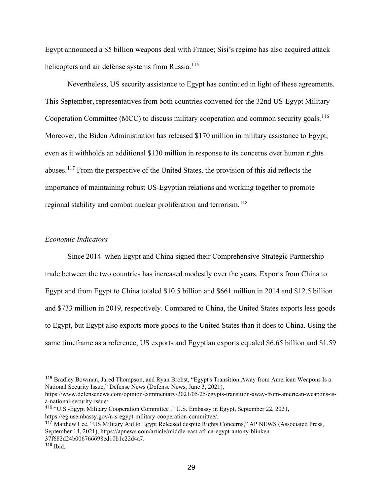Egypt announced a \$5 billion weapons deal with France; Sisi's regime has also acquired attack helicopters and air defense systems from Russia.<sup>[115](#page-33-0)</sup>

Nevertheless, US security assistance to Egypt has continued in light of these agreements. This September, representatives from both countries convened for the 32nd US-Egypt Military Cooperation Committee (MCC) to discuss military cooperation and common security goals.<sup>[116](#page-33-1)</sup> Moreover, the Biden Administration has released \$170 million in military assistance to Egypt, even as it withholds an additional \$130 million in response to its concerns over human rights abuses.[117](#page-33-2) From the perspective of the United States, the provision of this aid reflects the importance of maintaining robust US-Egyptian relations and working together to promote regional stability and combat nuclear proliferation and terrorism.<sup>[118](#page-33-3)</sup>

# *Economic Indicators*

Since 2014–when Egypt and China signed their Comprehensive Strategic Partnership– trade between the two countries has increased modestly over the years. Exports from China to Egypt and from Egypt to China totaled \$10.5 billion and \$661 million in 2014 and \$12.5 billion and \$733 million in 2019, respectively. Compared to China, the United States exports less goods to Egypt, but Egypt also exports more goods to the United States than it does to China. Using the same timeframe as a reference, US exports and Egyptian exports equaled \$6.65 billion and \$1.59

<span id="page-33-0"></span><sup>115</sup> Bradley Bowman, Jared Thompson, and Ryan Brobst, "Egypt's Transition Away from American Weapons Is a National Security Issue," Defense News (Defense News, June 3, 2021),

https://www.defensenews.com/opinion/commentary/2021/05/25/egypts-transition-away-from-american-weapons-isa-national-security-issue/.

<span id="page-33-1"></span><sup>116</sup> "U.S.-Egypt Military Cooperation Committee ," U.S. Embassy in Egypt, September 22, 2021, https://eg.usembassy.gov/u-s-egypt-military-cooperation-committee/.

<span id="page-33-2"></span><sup>117</sup> Matthew Lee, "US Military Aid to Egypt Released despite Rights Concerns," AP NEWS (Associated Press, September 14, 2021), https://apnews.com/article/middle-east-africa-egypt-antony-blinken-37f682d24b006766698ed10b1c22d4a7.

<span id="page-33-3"></span> $118$  Ibid.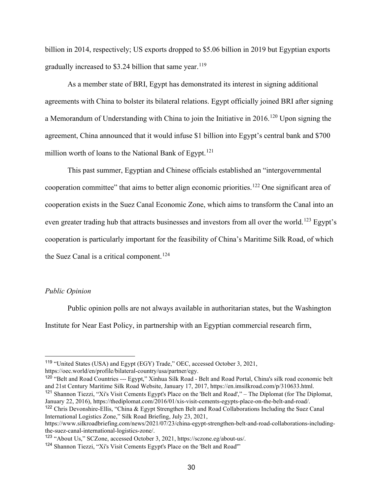billion in 2014, respectively; US exports dropped to \$5.06 billion in 2019 but Egyptian exports gradually increased to \$3.24 billion that same year.<sup>[119](#page-34-0)</sup>

As a member state of BRI, Egypt has demonstrated its interest in signing additional agreements with China to bolster its bilateral relations. Egypt officially joined BRI after signing a Memorandum of Understanding with China to join the Initiative in  $2016$ .<sup>[120](#page-34-1)</sup> Upon signing the agreement, China announced that it would infuse \$1 billion into Egypt's central bank and \$700 million worth of loans to the National Bank of Egypt.<sup>[121](#page-34-2)</sup>

This past summer, Egyptian and Chinese officials established an "intergovernmental cooperation committee" that aims to better align economic priorities.<sup>[122](#page-34-3)</sup> One significant area of cooperation exists in the Suez Canal Economic Zone, which aims to transform the Canal into an even greater trading hub that attracts businesses and investors from all over the world.<sup>[123](#page-34-4)</sup> Egypt's cooperation is particularly important for the feasibility of China's Maritime Silk Road, of which the Suez Canal is a critical component.<sup>[124](#page-34-5)</sup>

# *Public Opinion*

Public opinion polls are not always available in authoritarian states, but the Washington Institute for Near East Policy, in partnership with an Egyptian commercial research firm,

<span id="page-34-1"></span><sup>120</sup> "Belt and Road Countries --- Egypt," Xinhua Silk Road - Belt and Road Portal, China's silk road economic belt and 21st Century Maritime Silk Road Website, January 17, 2017, https://en.imsilkroad.com/p/310633.html. <sup>121</sup> Shannon Tiezzi, "Xi's Visit Cements Egypt's Place on the 'Belt and Road'," – The Diplomat (for The Diplomat, January 22, 2016), https://thediplomat.com/2016/01/xis-visit-cements-egypts-place-on-the-belt-and-road/.

<span id="page-34-0"></span><sup>119</sup> "United States (USA) and Egypt (EGY) Trade," OEC, accessed October 3, 2021, https://oec.world/en/profile/bilateral-country/usa/partner/egy.

<span id="page-34-3"></span><span id="page-34-2"></span><sup>122</sup> Chris Devonshire-Ellis, "China & Egypt Strengthen Belt and Road Collaborations Including the Suez Canal International Logistics Zone," Silk Road Briefing, July 23, 2021,

https://www.silkroadbriefing.com/news/2021/07/23/china-egypt-strengthen-belt-and-road-collaborations-includingthe-suez-canal-international-logistics-zone/.

<span id="page-34-4"></span><sup>123</sup> "About Us," SCZone, accessed October 3, 2021, https://sczone.eg/about-us/.

<span id="page-34-5"></span><sup>124</sup> Shannon Tiezzi, "Xi's Visit Cements Egypt's Place on the 'Belt and Road'"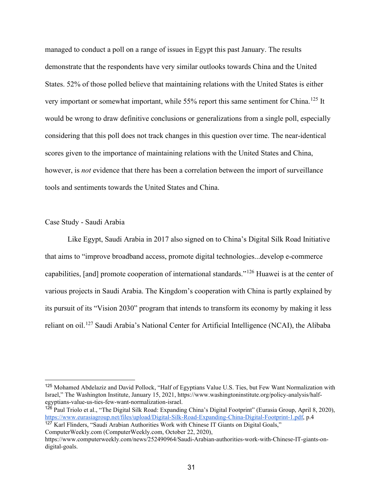managed to conduct a poll on a range of issues in Egypt this past January. The results demonstrate that the respondents have very similar outlooks towards China and the United States. 52% of those polled believe that maintaining relations with the United States is either very important or somewhat important, while 55% report this same sentiment for China.<sup>[125](#page-35-0)</sup> It would be wrong to draw definitive conclusions or generalizations from a single poll, especially considering that this poll does not track changes in this question over time. The near-identical scores given to the importance of maintaining relations with the United States and China, however, is *not* evidence that there has been a correlation between the import of surveillance tools and sentiments towards the United States and China.

#### Case Study - Saudi Arabia

Like Egypt, Saudi Arabia in 2017 also signed on to China's Digital Silk Road Initiative that aims to "improve broadband access, promote digital technologies...develop e-commerce capabilities, [and] promote cooperation of international standards."[126](#page-35-1) Huawei is at the center of various projects in Saudi Arabia. The Kingdom's cooperation with China is partly explained by its pursuit of its "Vision 2030" program that intends to transform its economy by making it less reliant on oil.[127](#page-35-2) Saudi Arabia's National Center for Artificial Intelligence (NCAI), the Alibaba

<span id="page-35-0"></span><sup>125</sup> Mohamed Abdelaziz and David Pollock, "Half of Egyptians Value U.S. Ties, but Few Want Normalization with Israel," The Washington Institute, January 15, 2021, https://www.washingtoninstitute.org/policy-analysis/halfegyptians-value-us-ties-few-want-normalization-israel.

<span id="page-35-1"></span><sup>126</sup> Paul Triolo et al., "The Digital Silk Road: Expanding China's Digital Footprint" (Eurasia Group, April 8, 2020), [https://www.eurasiagroup.net/files/upload/Digital-Silk-Road-Expanding-China-Digital-Footprint-1.pdf,](https://www.eurasiagroup.net/files/upload/Digital-Silk-Road-Expanding-China-Digital-Footprint-1.pdf) p.4

<span id="page-35-2"></span><sup>&</sup>lt;sup>127</sup> Karl Flinders, "Saudi Arabian Authorities Work with Chinese IT Giants on Digital Goals," ComputerWeekly.com (ComputerWeekly.com, October 22, 2020),

https://www.computerweekly.com/news/252490964/Saudi-Arabian-authorities-work-with-Chinese-IT-giants-ondigital-goals.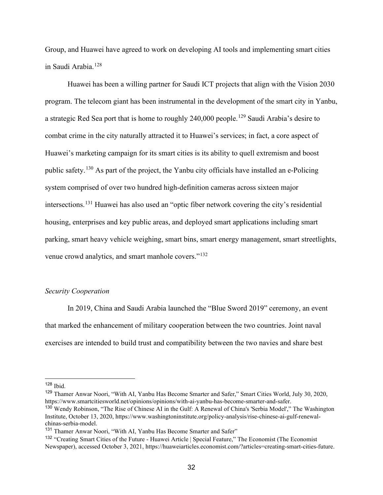Group, and Huawei have agreed to work on developing AI tools and implementing smart cities in Saudi Arabia.<sup>[128](#page-36-0)</sup>

Huawei has been a willing partner for Saudi ICT projects that align with the Vision 2030 program. The telecom giant has been instrumental in the development of the smart city in Yanbu, a strategic Red Sea port that is home to roughly 240,000 people.<sup>[129](#page-36-1)</sup> Saudi Arabia's desire to combat crime in the city naturally attracted it to Huawei's services; in fact, a core aspect of Huawei's marketing campaign for its smart cities is its ability to quell extremism and boost public safety.[130](#page-36-2) As part of the project, the Yanbu city officials have installed an e-Policing system comprised of over two hundred high-definition cameras across sixteen major intersections.[131](#page-36-3) Huawei has also used an "optic fiber network covering the city's residential housing, enterprises and key public areas, and deployed smart applications including smart parking, smart heavy vehicle weighing, smart bins, smart energy management, smart streetlights, venue crowd analytics, and smart manhole covers."<sup>[132](#page-36-4)</sup>

#### *Security Cooperation*

In 2019, China and Saudi Arabia launched the "Blue Sword 2019" ceremony, an event that marked the enhancement of military cooperation between the two countries. Joint naval exercises are intended to build trust and compatibility between the two navies and share best

<span id="page-36-0"></span><sup>128</sup> Ibid.

<span id="page-36-1"></span><sup>129</sup> Thamer Anwar Noori, "With AI, Yanbu Has Become Smarter and Safer," Smart Cities World, July 30, 2020, https://www.smartcitiesworld.net/opinions/opinions/with-ai-yanbu-has-become-smarter-and-safer.

<span id="page-36-2"></span><sup>130</sup> Wendy Robinson, "The Rise of Chinese AI in the Gulf: A Renewal of China's 'Serbia Model'," The Washington Institute, October 13, 2020, https://www.washingtoninstitute.org/policy-analysis/rise-chinese-ai-gulf-renewalchinas-serbia-model.

<span id="page-36-3"></span><sup>131</sup> Thamer Anwar Noori, "With AI, Yanbu Has Become Smarter and Safer"

<span id="page-36-4"></span><sup>132</sup> "Creating Smart Cities of the Future - Huawei Article | Special Feature," The Economist (The Economist Newspaper), accessed October 3, 2021, https://huaweiarticles.economist.com/?articles=creating-smart-cities-future.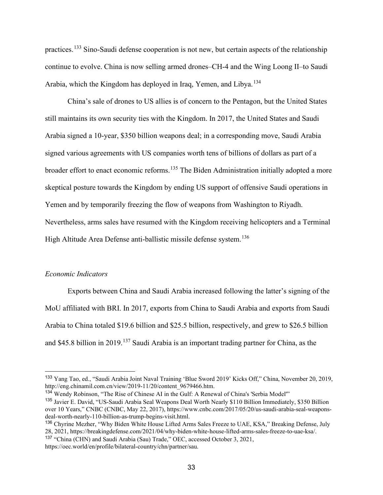practices.[133](#page-37-0) Sino-Saudi defense cooperation is not new, but certain aspects of the relationship continue to evolve. China is now selling armed drones–CH-4 and the Wing Loong II–to Saudi Arabia, which the Kingdom has deployed in Iraq, Yemen, and Libya.[134](#page-37-1)

China's sale of drones to US allies is of concern to the Pentagon, but the United States still maintains its own security ties with the Kingdom. In 2017, the United States and Saudi Arabia signed a 10-year, \$350 billion weapons deal; in a corresponding move, Saudi Arabia signed various agreements with US companies worth tens of billions of dollars as part of a broader effort to enact economic reforms.<sup>[135](#page-37-2)</sup> The Biden Administration initially adopted a more skeptical posture towards the Kingdom by ending US support of offensive Saudi operations in Yemen and by temporarily freezing the flow of weapons from Washington to Riyadh. Nevertheless, arms sales have resumed with the Kingdom receiving helicopters and a Terminal High Altitude Area Defense anti-ballistic missile defense system.<sup>[136](#page-37-3)</sup>

#### *Economic Indicators*

Exports between China and Saudi Arabia increased following the latter's signing of the MoU affiliated with BRI. In 2017, exports from China to Saudi Arabia and exports from Saudi Arabia to China totaled \$19.6 billion and \$25.5 billion, respectively, and grew to \$26.5 billion and \$45.8 billion in 2019.[137](#page-37-4) Saudi Arabia is an important trading partner for China, as the

<span id="page-37-0"></span><sup>133</sup> Yang Tao, ed., "Saudi Arabia Joint Naval Training 'Blue Sword 2019' Kicks Off," China, November 20, 2019, http://eng.chinamil.com.cn/view/2019-11/20/content\_9679466.htm.

<span id="page-37-1"></span><sup>134</sup> Wendy Robinson, "The Rise of Chinese AI in the Gulf: A Renewal of China's 'Serbia Model'"

<span id="page-37-2"></span><sup>&</sup>lt;sup>135</sup> Javier E. David, "US-Saudi Arabia Seal Weapons Deal Worth Nearly \$110 Billion Immediately, \$350 Billion over 10 Years," CNBC (CNBC, May 22, 2017), https://www.cnbc.com/2017/05/20/us-saudi-arabia-seal-weaponsdeal-worth-nearly-110-billion-as-trump-begins-visit.html.

<span id="page-37-3"></span><sup>136</sup> Chyrine Mezher, "Why Biden White House Lifted Arms Sales Freeze to UAE, KSA," Breaking Defense, July 28, 2021, https://breakingdefense.com/2021/04/why-biden-white-house-lifted-arms-sales-freeze-to-uae-ksa/. <sup>137</sup> "China (CHN) and Saudi Arabia (Sau) Trade," OEC, accessed October 3, 2021,

<span id="page-37-4"></span>https://oec.world/en/profile/bilateral-country/chn/partner/sau.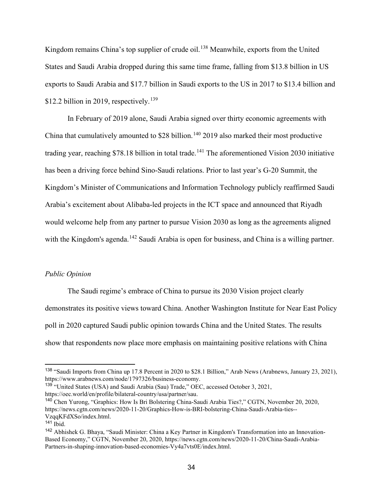Kingdom remains China's top supplier of crude oil.<sup>[138](#page-38-0)</sup> Meanwhile, exports from the United States and Saudi Arabia dropped during this same time frame, falling from \$13.8 billion in US exports to Saudi Arabia and \$17.7 billion in Saudi exports to the US in 2017 to \$13.4 billion and \$12.2 billion in 2019, respectively.<sup>[139](#page-38-1)</sup>

In February of 2019 alone, Saudi Arabia signed over thirty economic agreements with China that cumulatively amounted to \$28 billion.<sup>[140](#page-38-2)</sup> 2019 also marked their most productive trading year, reaching \$78.18 billion in total trade.<sup>[141](#page-38-3)</sup> The aforementioned Vision 2030 initiative has been a driving force behind Sino-Saudi relations. Prior to last year's G-20 Summit, the Kingdom's Minister of Communications and Information Technology publicly reaffirmed Saudi Arabia's excitement about Alibaba-led projects in the ICT space and announced that Riyadh would welcome help from any partner to pursue Vision 2030 as long as the agreements aligned with the Kingdom's agenda.<sup>[142](#page-38-4)</sup> Saudi Arabia is open for business, and China is a willing partner.

#### *Public Opinion*

The Saudi regime's embrace of China to pursue its 2030 Vision project clearly demonstrates its positive views toward China. Another Washington Institute for Near East Policy poll in 2020 captured Saudi public opinion towards China and the United States. The results show that respondents now place more emphasis on maintaining positive relations with China

<span id="page-38-0"></span><sup>138</sup> "Saudi Imports from China up 17.8 Percent in 2020 to \$28.1 Billion," Arab News (Arabnews, January 23, 2021), https://www.arabnews.com/node/1797326/business-economy.

<span id="page-38-1"></span><sup>139</sup> "United States (USA) and Saudi Arabia (Sau) Trade," OEC, accessed October 3, 2021, https://oec.world/en/profile/bilateral-country/usa/partner/sau.

<span id="page-38-2"></span><sup>140</sup> Chen Yurong, "Graphics: How Is Bri Bolstering China-Saudi Arabia Ties?," CGTN, November 20, 2020, https://news.cgtn.com/news/2020-11-20/Graphics-How-is-BRI-bolstering-China-Saudi-Arabia-ties-- VzqqKFdXSo/index.html.

<span id="page-38-3"></span> $141$  Ibid.

<span id="page-38-4"></span><sup>142</sup> Abhishek G. Bhaya, "Saudi Minister: China a Key Partner in Kingdom's Transformation into an Innovation-Based Economy," CGTN, November 20, 2020, https://news.cgtn.com/news/2020-11-20/China-Saudi-Arabia-Partners-in-shaping-innovation-based-economies-Vy4a7vts0E/index.html.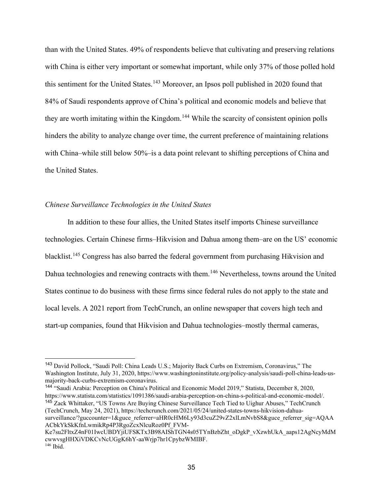than with the United States. 49% of respondents believe that cultivating and preserving relations with China is either very important or somewhat important, while only 37% of those polled hold this sentiment for the United States.<sup>[143](#page-39-0)</sup> Moreover, an Ipsos poll published in 2020 found that 84% of Saudi respondents approve of China's political and economic models and believe that they are worth imitating within the Kingdom.<sup>[144](#page-39-1)</sup> While the scarcity of consistent opinion polls hinders the ability to analyze change over time, the current preference of maintaining relations with China–while still below 50%–is a data point relevant to shifting perceptions of China and the United States.

#### *Chinese Surveillance Technologies in the United States*

In addition to these four allies, the United States itself imports Chinese surveillance technologies. Certain Chinese firms–Hikvision and Dahua among them–are on the US' economic blacklist.<sup>[145](#page-39-2)</sup> Congress has also barred the federal government from purchasing Hikvision and Dahua technologies and renewing contracts with them.<sup>[146](#page-39-3)</sup> Nevertheless, towns around the United States continue to do business with these firms since federal rules do not apply to the state and local levels. A 2021 report from TechCrunch, an online newspaper that covers high tech and start-up companies, found that Hikvision and Dahua technologies–mostly thermal cameras,

<span id="page-39-2"></span><span id="page-39-1"></span><sup>144</sup> "Saudi Arabia: Perception on China's Political and Economic Model 2019," Statista, December 8, 2020, https://www.statista.com/statistics/1091386/saudi-arabia-perception-on-china-s-political-and-economic-model/. <sup>145</sup> Zack Whittaker, "US Towns Are Buying Chinese Surveillance Tech Tied to Uighur Abuses," TechCrunch (TechCrunch, May 24, 2021), https://techcrunch.com/2021/05/24/united-states-towns-hikvision-dahuasurveillance/?guccounter=1&guce\_referrer=aHR0cHM6Ly93d3cuZ29vZ2xlLmNvbS8&guce\_referrer\_sig=AQAA

ACbkYkSkKfnLwmikRp4P3RgoZcxNlcuRoz0Pf\_FVM-Ke7su2FltxZ4nF01IwcUBDYjiUFSKTx3B98AIShTGN4s05TYnBzbZht\_oDgkP\_vXzwhUkA\_aaps12AgNcyMdM

<span id="page-39-0"></span><sup>143</sup> David Pollock, "Saudi Poll: China Leads U.S.; Majority Back Curbs on Extremism, Coronavirus," The Washington Institute, July 31, 2020, https://www.washingtoninstitute.org/policy-analysis/saudi-poll-china-leads-usmajority-back-curbs-extremism-coronavirus.

<span id="page-39-3"></span>cwwvsgHHXiVDKCvNcUGgK6hY-aaWrjp7hr1CpybzWMIBF.  $146$  Ibid.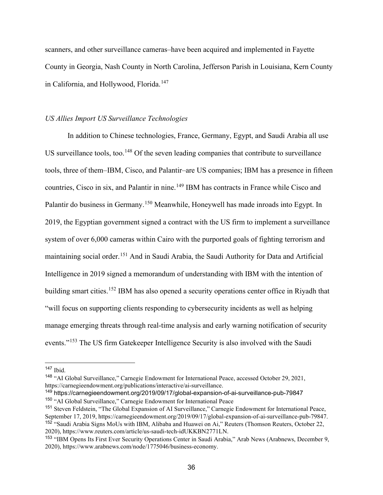scanners, and other surveillance cameras–have been acquired and implemented in Fayette County in Georgia, Nash County in North Carolina, Jefferson Parish in Louisiana, Kern County in California, and Hollywood, Florida.<sup>[147](#page-40-0)</sup>

#### *US Allies Import US Surveillance Technologies*

In addition to Chinese technologies, France, Germany, Egypt, and Saudi Arabia all use US surveillance tools, too.<sup>[148](#page-40-1)</sup> Of the seven leading companies that contribute to surveillance tools, three of them–IBM, Cisco, and Palantir–are US companies; IBM has a presence in fifteen countries, Cisco in six, and Palantir in nine.<sup>[149](#page-40-2)</sup> IBM has contracts in France while Cisco and Palantir do business in Germany.[150](#page-40-3) Meanwhile, Honeywell has made inroads into Egypt. In 2019, the Egyptian government signed a contract with the US firm to implement a surveillance system of over 6,000 cameras within Cairo with the purported goals of fighting terrorism and maintaining social order.<sup>[151](#page-40-4)</sup> And in Saudi Arabia, the Saudi Authority for Data and Artificial Intelligence in 2019 signed a memorandum of understanding with IBM with the intention of building smart cities.<sup>[152](#page-40-5)</sup> IBM has also opened a security operations center office in Riyadh that "will focus on supporting clients responding to cybersecurity incidents as well as helping manage emerging threats through real-time analysis and early warning notification of security events."[153](#page-40-6) The US firm Gatekeeper Intelligence Security is also involved with the Saudi

<span id="page-40-1"></span><sup>148</sup> "AI Global Surveillance," Carnegie Endowment for International Peace, accessed October 29, 2021, https://carnegieendowment.org/publications/interactive/ai-surveillance.

<span id="page-40-0"></span> $147$  Ibid.

<span id="page-40-3"></span><span id="page-40-2"></span><sup>149</sup> https://carnegieendowment.org/2019/09/17/global-expansion-of-ai-surveillance-pub-79847 <sup>150</sup> "AI Global Surveillance," Carnegie Endowment for International Peace

<span id="page-40-5"></span><span id="page-40-4"></span><sup>151</sup> Steven Feldstein, "The Global Expansion of AI Surveillance," Carnegie Endowment for International Peace, September 17, 2019, https://carnegieendowment.org/2019/09/17/global-expansion-of-ai-surveillance-pub-79847. <sup>152</sup> "Saudi Arabia Signs MoUs with IBM, Alibaba and Huawei on Ai," Reuters (Thomson Reuters, October 22, 2020), https://www.reuters.com/article/us-saudi-tech-idUKKBN2771LN.

<span id="page-40-6"></span><sup>153</sup> "IBM Opens Its First Ever Security Operations Center in Saudi Arabia," Arab News (Arabnews, December 9, 2020), https://www.arabnews.com/node/1775046/business-economy.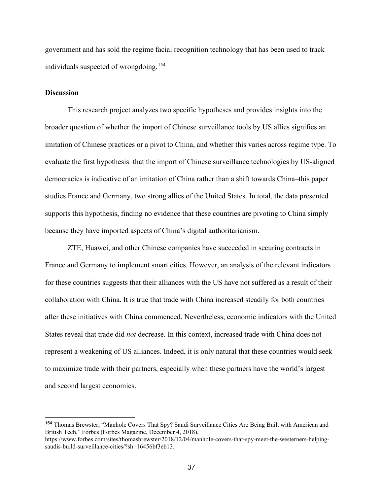government and has sold the regime facial recognition technology that has been used to track individuals suspected of wrongdoing.[154](#page-41-0)

# **Discussion**

This research project analyzes two specific hypotheses and provides insights into the broader question of whether the import of Chinese surveillance tools by US allies signifies an imitation of Chinese practices or a pivot to China, and whether this varies across regime type. To evaluate the first hypothesis–that the import of Chinese surveillance technologies by US-aligned democracies is indicative of an imitation of China rather than a shift towards China–this paper studies France and Germany, two strong allies of the United States. In total, the data presented supports this hypothesis, finding no evidence that these countries are pivoting to China simply because they have imported aspects of China's digital authoritarianism.

ZTE, Huawei, and other Chinese companies have succeeded in securing contracts in France and Germany to implement smart cities. However, an analysis of the relevant indicators for these countries suggests that their alliances with the US have not suffered as a result of their collaboration with China. It is true that trade with China increased steadily for both countries after these initiatives with China commenced. Nevertheless, economic indicators with the United States reveal that trade did *not* decrease. In this context, increased trade with China does not represent a weakening of US alliances. Indeed, it is only natural that these countries would seek to maximize trade with their partners, especially when these partners have the world's largest and second largest economies.

<span id="page-41-0"></span><sup>154</sup> Thomas Brewster, "Manhole Covers That Spy? Saudi Surveillance Cities Are Being Built with American and British Tech," Forbes (Forbes Magazine, December 4, 2018),

https://www.forbes.com/sites/thomasbrewster/2018/12/04/manhole-covers-that-spy-meet-the-westerners-helpingsaudis-build-surveillance-cities/?sh=16456bf3eb13.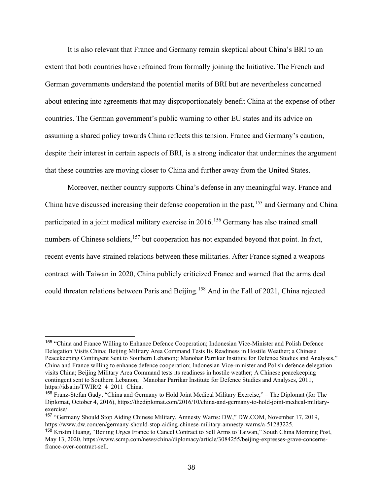It is also relevant that France and Germany remain skeptical about China's BRI to an extent that both countries have refrained from formally joining the Initiative. The French and German governments understand the potential merits of BRI but are nevertheless concerned about entering into agreements that may disproportionately benefit China at the expense of other countries. The German government's public warning to other EU states and its advice on assuming a shared policy towards China reflects this tension. France and Germany's caution, despite their interest in certain aspects of BRI, is a strong indicator that undermines the argument that these countries are moving closer to China and further away from the United States.

Moreover, neither country supports China's defense in any meaningful way. France and China have discussed increasing their defense cooperation in the past,<sup>[155](#page-42-0)</sup> and Germany and China participated in a joint medical military exercise in 2016.<sup>[156](#page-42-1)</sup> Germany has also trained small numbers of Chinese soldiers,<sup>[157](#page-42-2)</sup> but cooperation has not expanded beyond that point. In fact, recent events have strained relations between these militaries. After France signed a weapons contract with Taiwan in 2020, China publicly criticized France and warned that the arms deal could threaten relations between Paris and Beijing.<sup>[158](#page-42-3)</sup> And in the Fall of 2021, China rejected

<span id="page-42-0"></span><sup>155</sup> "China and France Willing to Enhance Defence Cooperation; Indonesian Vice-Minister and Polish Defence Delegation Visits China; Beijing Military Area Command Tests Its Readiness in Hostile Weather; a Chinese Peacekeeping Contingent Sent to Southern Lebanon;: Manohar Parrikar Institute for Defence Studies and Analyses," China and France willing to enhance defence cooperation; Indonesian Vice-minister and Polish defence delegation visits China; Beijing Military Area Command tests its readiness in hostile weather; A Chinese peacekeeping contingent sent to Southern Lebanon; | Manohar Parrikar Institute for Defence Studies and Analyses, 2011, https://idsa.in/TWIR/2\_4\_2011\_China.

<span id="page-42-1"></span><sup>156</sup> Franz-Stefan Gady, "China and Germany to Hold Joint Medical Military Exercise," – The Diplomat (for The Diplomat, October 4, 2016), https://thediplomat.com/2016/10/china-and-germany-to-hold-joint-medical-militaryexercise/.

<span id="page-42-2"></span><sup>157</sup> "Germany Should Stop Aiding Chinese Military, Amnesty Warns: DW," DW.COM, November 17, 2019, https://www.dw.com/en/germany-should-stop-aiding-chinese-military-amnesty-warns/a-51283225.

<span id="page-42-3"></span><sup>158</sup> Kristin Huang, "Beijing Urges France to Cancel Contract to Sell Arms to Taiwan," South China Morning Post, May 13, 2020, https://www.scmp.com/news/china/diplomacy/article/3084255/beijing-expresses-grave-concernsfrance-over-contract-sell.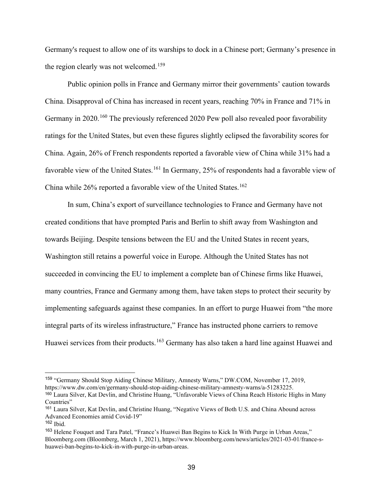Germany's request to allow one of its warships to dock in a Chinese port; Germany's presence in the region clearly was not welcomed.<sup>[159](#page-43-0)</sup>

Public opinion polls in France and Germany mirror their governments' caution towards China. Disapproval of China has increased in recent years, reaching 70% in France and 71% in Germany in 2020.<sup>[160](#page-43-1)</sup> The previously referenced 2020 Pew poll also revealed poor favorability ratings for the United States, but even these figures slightly eclipsed the favorability scores for China. Again, 26% of French respondents reported a favorable view of China while 31% had a favorable view of the United States.<sup>[161](#page-43-2)</sup> In Germany, 25% of respondents had a favorable view of China while  $26\%$  reported a favorable view of the United States.<sup>[162](#page-43-3)</sup>

In sum, China's export of surveillance technologies to France and Germany have not created conditions that have prompted Paris and Berlin to shift away from Washington and towards Beijing. Despite tensions between the EU and the United States in recent years, Washington still retains a powerful voice in Europe. Although the United States has not succeeded in convincing the EU to implement a complete ban of Chinese firms like Huawei, many countries, France and Germany among them, have taken steps to protect their security by implementing safeguards against these companies. In an effort to purge Huawei from "the more integral parts of its wireless infrastructure," France has instructed phone carriers to remove Huawei services from their products.<sup>[163](#page-43-4)</sup> Germany has also taken a hard line against Huawei and

<span id="page-43-0"></span><sup>159</sup> "Germany Should Stop Aiding Chinese Military, Amnesty Warns," DW.COM, November 17, 2019, https://www.dw.com/en/germany-should-stop-aiding-chinese-military-amnesty-warns/a-51283225.

<span id="page-43-1"></span><sup>160</sup> Laura Silver, Kat Devlin, and Christine Huang, "Unfavorable Views of China Reach Historic Highs in Many Countries"

<span id="page-43-2"></span><sup>161</sup> Laura Silver, Kat Devlin, and Christine Huang, "Negative Views of Both U.S. and China Abound across Advanced Economies amid Covid-19"

<span id="page-43-3"></span> $162$  Ibid.

<span id="page-43-4"></span><sup>&</sup>lt;sup>163</sup> Helene Fouquet and Tara Patel, "France's Huawei Ban Begins to Kick In With Purge in Urban Areas," Bloomberg.com (Bloomberg, March 1, 2021), https://www.bloomberg.com/news/articles/2021-03-01/france-shuawei-ban-begins-to-kick-in-with-purge-in-urban-areas.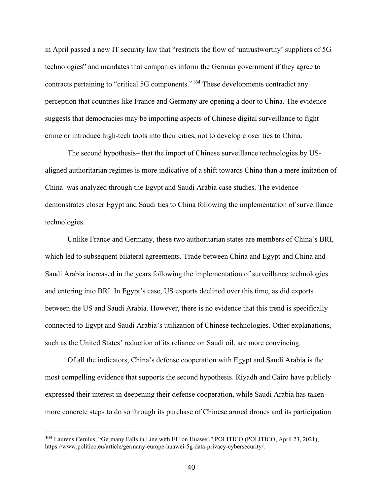in April passed a new IT security law that "restricts the flow of 'untrustworthy' suppliers of 5G technologies" and mandates that companies inform the German government if they agree to contracts pertaining to "critical 5G components."[164](#page-44-0) These developments contradict any perception that countries like France and Germany are opening a door to China. The evidence suggests that democracies may be importing aspects of Chinese digital surveillance to fight crime or introduce high-tech tools into their cities, not to develop closer ties to China.

The second hypothesis– that the import of Chinese surveillance technologies by USaligned authoritarian regimes is more indicative of a shift towards China than a mere imitation of China–was analyzed through the Egypt and Saudi Arabia case studies. The evidence demonstrates closer Egypt and Saudi ties to China following the implementation of surveillance technologies.

Unlike France and Germany, these two authoritarian states are members of China's BRI, which led to subsequent bilateral agreements. Trade between China and Egypt and China and Saudi Arabia increased in the years following the implementation of surveillance technologies and entering into BRI. In Egypt's case, US exports declined over this time, as did exports between the US and Saudi Arabia. However, there is no evidence that this trend is specifically connected to Egypt and Saudi Arabia's utilization of Chinese technologies. Other explanations, such as the United States' reduction of its reliance on Saudi oil, are more convincing.

Of all the indicators, China's defense cooperation with Egypt and Saudi Arabia is the most compelling evidence that supports the second hypothesis. Riyadh and Cairo have publicly expressed their interest in deepening their defense cooperation, while Saudi Arabia has taken more concrete steps to do so through its purchase of Chinese armed drones and its participation

<span id="page-44-0"></span><sup>164</sup> Laurens Cerulus, "Germany Falls in Line with EU on Huawei," POLITICO (POLITICO, April 23, 2021), https://www.politico.eu/article/germany-europe-huawei-5g-data-privacy-cybersecurity/.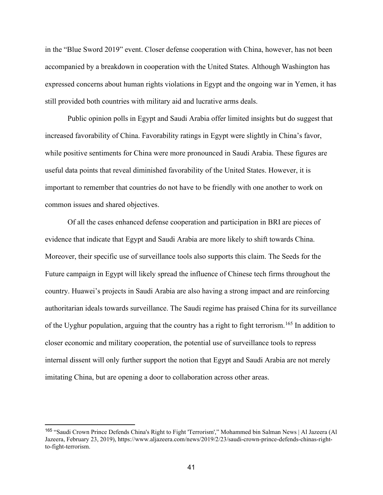in the "Blue Sword 2019" event. Closer defense cooperation with China, however, has not been accompanied by a breakdown in cooperation with the United States. Although Washington has expressed concerns about human rights violations in Egypt and the ongoing war in Yemen, it has still provided both countries with military aid and lucrative arms deals.

Public opinion polls in Egypt and Saudi Arabia offer limited insights but do suggest that increased favorability of China. Favorability ratings in Egypt were slightly in China's favor, while positive sentiments for China were more pronounced in Saudi Arabia. These figures are useful data points that reveal diminished favorability of the United States. However, it is important to remember that countries do not have to be friendly with one another to work on common issues and shared objectives.

Of all the cases enhanced defense cooperation and participation in BRI are pieces of evidence that indicate that Egypt and Saudi Arabia are more likely to shift towards China. Moreover, their specific use of surveillance tools also supports this claim. The Seeds for the Future campaign in Egypt will likely spread the influence of Chinese tech firms throughout the country. Huawei's projects in Saudi Arabia are also having a strong impact and are reinforcing authoritarian ideals towards surveillance. The Saudi regime has praised China for its surveillance of the Uyghur population, arguing that the country has a right to fight terrorism.<sup>[165](#page-45-0)</sup> In addition to closer economic and military cooperation, the potential use of surveillance tools to repress internal dissent will only further support the notion that Egypt and Saudi Arabia are not merely imitating China, but are opening a door to collaboration across other areas.

<span id="page-45-0"></span><sup>165</sup> "Saudi Crown Prince Defends China's Right to Fight 'Terrorism'," Mohammed bin Salman News | Al Jazeera (Al Jazeera, February 23, 2019), https://www.aljazeera.com/news/2019/2/23/saudi-crown-prince-defends-chinas-rightto-fight-terrorism.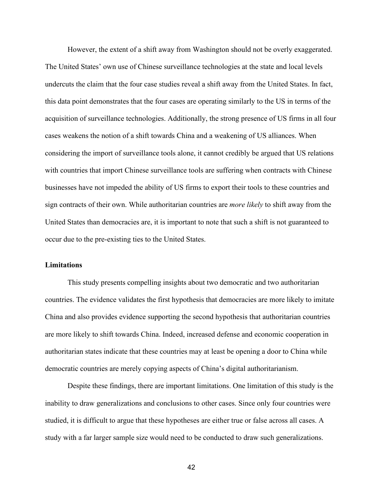However, the extent of a shift away from Washington should not be overly exaggerated. The United States' own use of Chinese surveillance technologies at the state and local levels undercuts the claim that the four case studies reveal a shift away from the United States. In fact, this data point demonstrates that the four cases are operating similarly to the US in terms of the acquisition of surveillance technologies. Additionally, the strong presence of US firms in all four cases weakens the notion of a shift towards China and a weakening of US alliances. When considering the import of surveillance tools alone, it cannot credibly be argued that US relations with countries that import Chinese surveillance tools are suffering when contracts with Chinese businesses have not impeded the ability of US firms to export their tools to these countries and sign contracts of their own. While authoritarian countries are *more likely* to shift away from the United States than democracies are, it is important to note that such a shift is not guaranteed to occur due to the pre-existing ties to the United States.

# **Limitations**

This study presents compelling insights about two democratic and two authoritarian countries. The evidence validates the first hypothesis that democracies are more likely to imitate China and also provides evidence supporting the second hypothesis that authoritarian countries are more likely to shift towards China. Indeed, increased defense and economic cooperation in authoritarian states indicate that these countries may at least be opening a door to China while democratic countries are merely copying aspects of China's digital authoritarianism.

Despite these findings, there are important limitations. One limitation of this study is the inability to draw generalizations and conclusions to other cases. Since only four countries were studied, it is difficult to argue that these hypotheses are either true or false across all cases. A study with a far larger sample size would need to be conducted to draw such generalizations.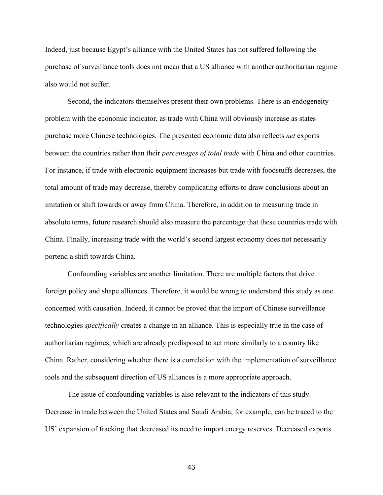Indeed, just because Egypt's alliance with the United States has not suffered following the purchase of surveillance tools does not mean that a US alliance with another authoritarian regime also would not suffer.

Second, the indicators themselves present their own problems. There is an endogeneity problem with the economic indicator, as trade with China will obviously increase as states purchase more Chinese technologies. The presented economic data also reflects *net* exports between the countries rather than their *percentages of total trade* with China and other countries. For instance, if trade with electronic equipment increases but trade with foodstuffs decreases, the total amount of trade may decrease, thereby complicating efforts to draw conclusions about an imitation or shift towards or away from China. Therefore, in addition to measuring trade in absolute terms, future research should also measure the percentage that these countries trade with China. Finally, increasing trade with the world's second largest economy does not necessarily portend a shift towards China.

Confounding variables are another limitation. There are multiple factors that drive foreign policy and shape alliances. Therefore, it would be wrong to understand this study as one concerned with causation. Indeed, it cannot be proved that the import of Chinese surveillance technologies *specifically* creates a change in an alliance. This is especially true in the case of authoritarian regimes, which are already predisposed to act more similarly to a country like China. Rather, considering whether there is a correlation with the implementation of surveillance tools and the subsequent direction of US alliances is a more appropriate approach.

The issue of confounding variables is also relevant to the indicators of this study. Decrease in trade between the United States and Saudi Arabia, for example, can be traced to the US' expansion of fracking that decreased its need to import energy reserves. Decreased exports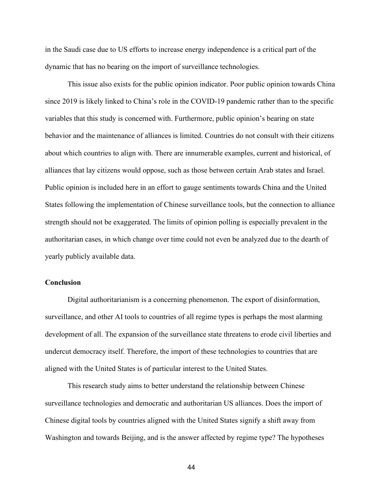in the Saudi case due to US efforts to increase energy independence is a critical part of the dynamic that has no bearing on the import of surveillance technologies.

This issue also exists for the public opinion indicator. Poor public opinion towards China since 2019 is likely linked to China's role in the COVID-19 pandemic rather than to the specific variables that this study is concerned with. Furthermore, public opinion's bearing on state behavior and the maintenance of alliances is limited. Countries do not consult with their citizens about which countries to align with. There are innumerable examples, current and historical, of alliances that lay citizens would oppose, such as those between certain Arab states and Israel. Public opinion is included here in an effort to gauge sentiments towards China and the United States following the implementation of Chinese surveillance tools, but the connection to alliance strength should not be exaggerated. The limits of opinion polling is especially prevalent in the authoritarian cases, in which change over time could not even be analyzed due to the dearth of yearly publicly available data.

### **Conclusion**

Digital authoritarianism is a concerning phenomenon. The export of disinformation, surveillance, and other AI tools to countries of all regime types is perhaps the most alarming development of all. The expansion of the surveillance state threatens to erode civil liberties and undercut democracy itself. Therefore, the import of these technologies to countries that are aligned with the United States is of particular interest to the United States.

This research study aims to better understand the relationship between Chinese surveillance technologies and democratic and authoritarian US alliances. Does the import of Chinese digital tools by countries aligned with the United States signify a shift away from Washington and towards Beijing, and is the answer affected by regime type? The hypotheses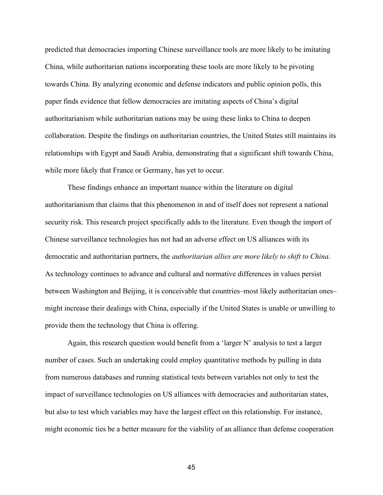predicted that democracies importing Chinese surveillance tools are more likely to be imitating China, while authoritarian nations incorporating these tools are more likely to be pivoting towards China. By analyzing economic and defense indicators and public opinion polls, this paper finds evidence that fellow democracies are imitating aspects of China's digital authoritarianism while authoritarian nations may be using these links to China to deepen collaboration. Despite the findings on authoritarian countries, the United States still maintains its relationships with Egypt and Saudi Arabia, demonstrating that a significant shift towards China, while more likely that France or Germany, has yet to occur.

These findings enhance an important nuance within the literature on digital authoritarianism that claims that this phenomenon in and of itself does not represent a national security risk. This research project specifically adds to the literature. Even though the import of Chinese surveillance technologies has not had an adverse effect on US alliances with its democratic and authoritarian partners, the *authoritarian allies are more likely to shift to China*. As technology continues to advance and cultural and normative differences in values persist between Washington and Beijing, it is conceivable that countries–most likely authoritarian ones– might increase their dealings with China, especially if the United States is unable or unwilling to provide them the technology that China is offering.

Again, this research question would benefit from a 'larger N' analysis to test a larger number of cases. Such an undertaking could employ quantitative methods by pulling in data from numerous databases and running statistical tests between variables not only to test the impact of surveillance technologies on US alliances with democracies and authoritarian states, but also to test which variables may have the largest effect on this relationship. For instance, might economic ties be a better measure for the viability of an alliance than defense cooperation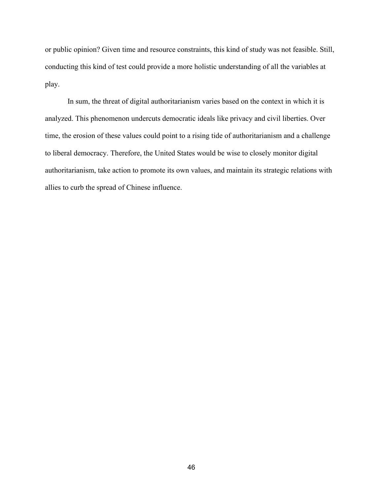or public opinion? Given time and resource constraints, this kind of study was not feasible. Still, conducting this kind of test could provide a more holistic understanding of all the variables at play.

In sum, the threat of digital authoritarianism varies based on the context in which it is analyzed. This phenomenon undercuts democratic ideals like privacy and civil liberties. Over time, the erosion of these values could point to a rising tide of authoritarianism and a challenge to liberal democracy. Therefore, the United States would be wise to closely monitor digital authoritarianism, take action to promote its own values, and maintain its strategic relations with allies to curb the spread of Chinese influence.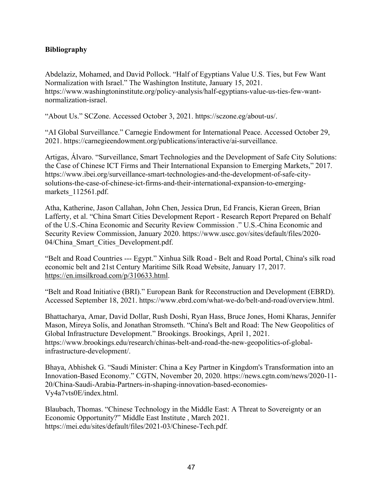# **Bibliography**

Abdelaziz, Mohamed, and David Pollock. "Half of Egyptians Value U.S. Ties, but Few Want Normalization with Israel." The Washington Institute, January 15, 2021. https://www.washingtoninstitute.org/policy-analysis/half-egyptians-value-us-ties-few-wantnormalization-israel.

"About Us." SCZone. Accessed October 3, 2021. https://sczone.eg/about-us/.

"AI Global Surveillance." Carnegie Endowment for International Peace. Accessed October 29, 2021. https://carnegieendowment.org/publications/interactive/ai-surveillance.

Artigas, Álvaro. "Surveillance, Smart Technologies and the Development of Safe City Solutions: the Case of Chinese ICT Firms and Their International Expansion to Emerging Markets," 2017. https://www.ibei.org/surveillance-smart-technologies-and-the-development-of-safe-citysolutions-the-case-of-chinese-ict-firms-and-their-international-expansion-to-emergingmarkets 112561.pdf.

Atha, Katherine, Jason Callahan, John Chen, Jessica Drun, Ed Francis, Kieran Green, Brian Lafferty, et al. "China Smart Cities Development Report - Research Report Prepared on Behalf of the U.S.-China Economic and Security Review Commission ." U.S.-China Economic and Security Review Commission, January 2020. https://www.uscc.gov/sites/default/files/2020- 04/China Smart Cities Development.pdf.

"Belt and Road Countries --- Egypt." Xinhua Silk Road - Belt and Road Portal, China's silk road economic belt and 21st Century Maritime Silk Road Website, January 17, 2017. [https://en.imsilkroad.com/p/310633.html.](https://en.imsilkroad.com/p/310633.html)

"Belt and Road Initiative (BRI)." European Bank for Reconstruction and Development (EBRD). Accessed September 18, 2021. https://www.ebrd.com/what-we-do/belt-and-road/overview.html.

Bhattacharya, Amar, David Dollar, Rush Doshi, Ryan Hass, Bruce Jones, Homi Kharas, Jennifer Mason, Mireya Solís, and Jonathan Stromseth. "China's Belt and Road: The New Geopolitics of Global Infrastructure Development." Brookings. Brookings, April 1, 2021. https://www.brookings.edu/research/chinas-belt-and-road-the-new-geopolitics-of-globalinfrastructure-development/.

Bhaya, Abhishek G. "Saudi Minister: China a Key Partner in Kingdom's Transformation into an Innovation-Based Economy." CGTN, November 20, 2020. https://news.cgtn.com/news/2020-11- 20/China-Saudi-Arabia-Partners-in-shaping-innovation-based-economies-Vy4a7vts0E/index.html.

Blaubach, Thomas. "Chinese Technology in the Middle East: A Threat to Sovereignty or an Economic Opportunity?" Middle East Institute , March 2021. https://mei.edu/sites/default/files/2021-03/Chinese-Tech.pdf.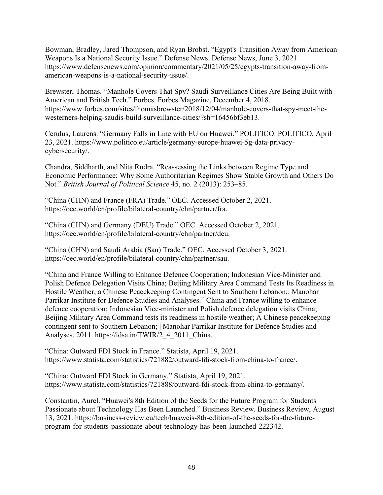Bowman, Bradley, Jared Thompson, and Ryan Brobst. "Egypt's Transition Away from American Weapons Is a National Security Issue." Defense News. Defense News, June 3, 2021. https://www.defensenews.com/opinion/commentary/2021/05/25/egypts-transition-away-fromamerican-weapons-is-a-national-security-issue/.

Brewster, Thomas. "Manhole Covers That Spy? Saudi Surveillance Cities Are Being Built with American and British Tech." Forbes. Forbes Magazine, December 4, 2018. https://www.forbes.com/sites/thomasbrewster/2018/12/04/manhole-covers-that-spy-meet-thewesterners-helping-saudis-build-surveillance-cities/?sh=16456bf3eb13.

Cerulus, Laurens. "Germany Falls in Line with EU on Huawei." POLITICO. POLITICO, April 23, 2021. https://www.politico.eu/article/germany-europe-huawei-5g-data-privacycybersecurity/.

Chandra, Siddharth, and Nita Rudra. "Reassessing the Links between Regime Type and Economic Performance: Why Some Authoritarian Regimes Show Stable Growth and Others Do Not." *British Journal of Political Science* 45, no. 2 (2013): 253–85.

"China (CHN) and France (FRA) Trade." OEC. Accessed October 2, 2021. https://oec.world/en/profile/bilateral-country/chn/partner/fra.

"China (CHN) and Germany (DEU) Trade." OEC. Accessed October 2, 2021. https://oec.world/en/profile/bilateral-country/chn/partner/deu.

"China (CHN) and Saudi Arabia (Sau) Trade." OEC. Accessed October 3, 2021. https://oec.world/en/profile/bilateral-country/chn/partner/sau.

"China and France Willing to Enhance Defence Cooperation; Indonesian Vice-Minister and Polish Defence Delegation Visits China; Beijing Military Area Command Tests Its Readiness in Hostile Weather; a Chinese Peacekeeping Contingent Sent to Southern Lebanon;: Manohar Parrikar Institute for Defence Studies and Analyses." China and France willing to enhance defence cooperation; Indonesian Vice-minister and Polish defence delegation visits China; Beijing Military Area Command tests its readiness in hostile weather; A Chinese peacekeeping contingent sent to Southern Lebanon; | Manohar Parrikar Institute for Defence Studies and Analyses, 2011. https://idsa.in/TWIR/2\_4\_2011\_China.

"China: Outward FDI Stock in France." Statista, April 19, 2021. https://www.statista.com/statistics/721882/outward-fdi-stock-from-china-to-france/.

"China: Outward FDI Stock in Germany." Statista, April 19, 2021. https://www.statista.com/statistics/721888/outward-fdi-stock-from-china-to-germany/.

Constantin, Aurel. "Huawei's 8th Edition of the Seeds for the Future Program for Students Passionate about Technology Has Been Launched." Business Review. Business Review, August 13, 2021. https://business-review.eu/tech/huaweis-8th-edition-of-the-seeds-for-the-futureprogram-for-students-passionate-about-technology-has-been-launched-222342.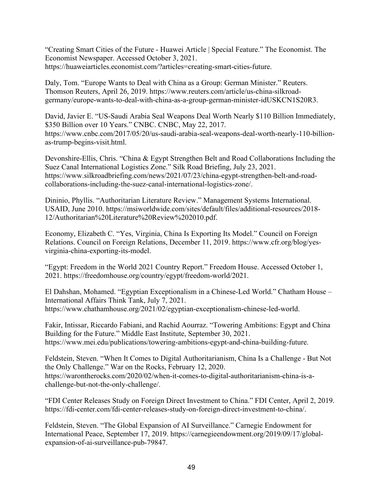"Creating Smart Cities of the Future - Huawei Article | Special Feature." The Economist. The Economist Newspaper. Accessed October 3, 2021. https://huaweiarticles.economist.com/?articles=creating-smart-cities-future.

Daly, Tom. "Europe Wants to Deal with China as a Group: German Minister." Reuters. Thomson Reuters, April 26, 2019. https://www.reuters.com/article/us-china-silkroadgermany/europe-wants-to-deal-with-china-as-a-group-german-minister-idUSKCN1S20R3.

David, Javier E. "US-Saudi Arabia Seal Weapons Deal Worth Nearly \$110 Billion Immediately, \$350 Billion over 10 Years." CNBC. CNBC, May 22, 2017. https://www.cnbc.com/2017/05/20/us-saudi-arabia-seal-weapons-deal-worth-nearly-110-billionas-trump-begins-visit.html.

Devonshire-Ellis, Chris. "China & Egypt Strengthen Belt and Road Collaborations Including the Suez Canal International Logistics Zone." Silk Road Briefing, July 23, 2021. https://www.silkroadbriefing.com/news/2021/07/23/china-egypt-strengthen-belt-and-roadcollaborations-including-the-suez-canal-international-logistics-zone/.

Dininio, Phyllis. "Authoritarian Literature Review." Management Systems International. USAID, June 2010. https://msiworldwide.com/sites/default/files/additional-resources/2018- 12/Authoritarian%20Literature%20Review%202010.pdf.

Economy, Elizabeth C. "Yes, Virginia, China Is Exporting Its Model." Council on Foreign Relations. Council on Foreign Relations, December 11, 2019. https://www.cfr.org/blog/yesvirginia-china-exporting-its-model.

"Egypt: Freedom in the World 2021 Country Report." Freedom House. Accessed October 1, 2021. https://freedomhouse.org/country/egypt/freedom-world/2021.

El Dahshan, Mohamed. "Egyptian Exceptionalism in a Chinese-Led World." Chatham House – International Affairs Think Tank, July 7, 2021. https://www.chathamhouse.org/2021/02/egyptian-exceptionalism-chinese-led-world.

Fakir, Intissar, Riccardo Fabiani, and Rachid Aourraz. "Towering Ambitions: Egypt and China Building for the Future." Middle East Institute, September 30, 2021. https://www.mei.edu/publications/towering-ambitions-egypt-and-china-building-future.

Feldstein, Steven. "When It Comes to Digital Authoritarianism, China Is a Challenge - But Not the Only Challenge." War on the Rocks, February 12, 2020. https://warontherocks.com/2020/02/when-it-comes-to-digital-authoritarianism-china-is-achallenge-but-not-the-only-challenge/.

"FDI Center Releases Study on Foreign Direct Investment to China." FDI Center, April 2, 2019. https://fdi-center.com/fdi-center-releases-study-on-foreign-direct-investment-to-china/.

Feldstein, Steven. "The Global Expansion of AI Surveillance." Carnegie Endowment for International Peace, September 17, 2019. https://carnegieendowment.org/2019/09/17/globalexpansion-of-ai-surveillance-pub-79847.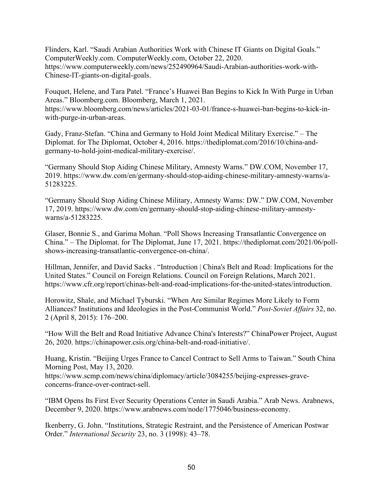Flinders, Karl. "Saudi Arabian Authorities Work with Chinese IT Giants on Digital Goals." ComputerWeekly.com. ComputerWeekly.com, October 22, 2020. https://www.computerweekly.com/news/252490964/Saudi-Arabian-authorities-work-with-Chinese-IT-giants-on-digital-goals.

Fouquet, Helene, and Tara Patel. "France's Huawei Ban Begins to Kick In With Purge in Urban Areas." Bloomberg.com. Bloomberg, March 1, 2021. https://www.bloomberg.com/news/articles/2021-03-01/france-s-huawei-ban-begins-to-kick-inwith-purge-in-urban-areas.

Gady, Franz-Stefan. "China and Germany to Hold Joint Medical Military Exercise." – The Diplomat. for The Diplomat, October 4, 2016. https://thediplomat.com/2016/10/china-andgermany-to-hold-joint-medical-military-exercise/.

"Germany Should Stop Aiding Chinese Military, Amnesty Warns." DW.COM, November 17, 2019. https://www.dw.com/en/germany-should-stop-aiding-chinese-military-amnesty-warns/a-51283225.

"Germany Should Stop Aiding Chinese Military, Amnesty Warns: DW." DW.COM, November 17, 2019. https://www.dw.com/en/germany-should-stop-aiding-chinese-military-amnestywarns/a-51283225.

Glaser, Bonnie S., and Garima Mohan. "Poll Shows Increasing Transatlantic Convergence on China." – The Diplomat. for The Diplomat, June 17, 2021. https://thediplomat.com/2021/06/pollshows-increasing-transatlantic-convergence-on-china/.

Hillman, Jennifer, and David Sacks . "Introduction | China's Belt and Road: Implications for the United States." Council on Foreign Relations. Council on Foreign Relations, March 2021. https://www.cfr.org/report/chinas-belt-and-road-implications-for-the-united-states/introduction.

Horowitz, Shale, and Michael Tyburski. "When Are Similar Regimes More Likely to Form Alliances? Institutions and Ideologies in the Post-Communist World." *Post-Soviet Affairs* 32, no. 2 (April 8, 2015): 176–200.

"How Will the Belt and Road Initiative Advance China's Interests?" ChinaPower Project, August 26, 2020. https://chinapower.csis.org/china-belt-and-road-initiative/.

Huang, Kristin. "Beijing Urges France to Cancel Contract to Sell Arms to Taiwan." South China Morning Post, May 13, 2020.

https://www.scmp.com/news/china/diplomacy/article/3084255/beijing-expresses-graveconcerns-france-over-contract-sell.

"IBM Opens Its First Ever Security Operations Center in Saudi Arabia." Arab News. Arabnews, December 9, 2020. https://www.arabnews.com/node/1775046/business-economy.

Ikenberry, G. John. "Institutions, Strategic Restraint, and the Persistence of American Postwar Order." *International Security* 23, no. 3 (1998): 43–78.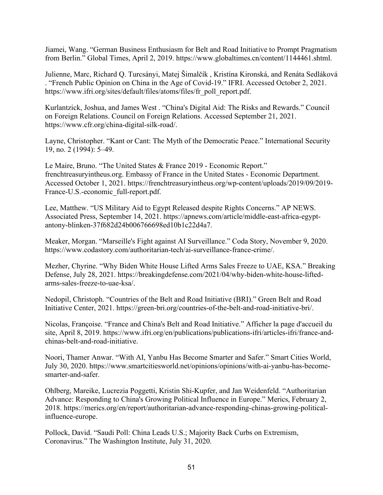Jiamei, Wang. "German Business Enthusiasm for Belt and Road Initiative to Prompt Pragmatism from Berlin." Global Times, April 2, 2019. https://www.globaltimes.cn/content/1144461.shtml.

Julienne, Marc, Richard Q. Turcsányi, Matej Šimalčík , Kristína Kironská, and Renáta Sedláková . "French Public Opinion on China in the Age of Covid-19." IFRI. Accessed October 2, 2021. https://www.ifri.org/sites/default/files/atoms/files/fr\_poll\_report.pdf.

Kurlantzick, Joshua, and James West . "China's Digital Aid: The Risks and Rewards." Council on Foreign Relations. Council on Foreign Relations. Accessed September 21, 2021. https://www.cfr.org/china-digital-silk-road/.

Layne, Christopher. "Kant or Cant: The Myth of the Democratic Peace." International Security 19, no. 2 (1994): 5–49.

Le Maire, Bruno. "The United States & France 2019 - Economic Report." frenchtreasuryintheus.org. Embassy of France in the United States - Economic Department. Accessed October 1, 2021. https://frenchtreasuryintheus.org/wp-content/uploads/2019/09/2019- France-U.S.-economic\_full-report.pdf.

Lee, Matthew. "US Military Aid to Egypt Released despite Rights Concerns." AP NEWS. Associated Press, September 14, 2021. https://apnews.com/article/middle-east-africa-egyptantony-blinken-37f682d24b006766698ed10b1c22d4a7.

Meaker, Morgan. "Marseille's Fight against AI Surveillance." Coda Story, November 9, 2020. https://www.codastory.com/authoritarian-tech/ai-surveillance-france-crime/.

Mezher, Chyrine. "Why Biden White House Lifted Arms Sales Freeze to UAE, KSA." Breaking Defense, July 28, 2021. https://breakingdefense.com/2021/04/why-biden-white-house-liftedarms-sales-freeze-to-uae-ksa/.

Nedopil, Christoph. "Countries of the Belt and Road Initiative (BRI)." Green Belt and Road Initiative Center, 2021. https://green-bri.org/countries-of-the-belt-and-road-initiative-bri/.

Nicolas, Françoise. "France and China's Belt and Road Initiative." Afficher la page d'accueil du site, April 8, 2019. https://www.ifri.org/en/publications/publications-ifri/articles-ifri/france-andchinas-belt-and-road-initiative.

Noori, Thamer Anwar. "With AI, Yanbu Has Become Smarter and Safer." Smart Cities World, July 30, 2020. https://www.smartcitiesworld.net/opinions/opinions/with-ai-yanbu-has-becomesmarter-and-safer.

Ohlberg, Mareike, Lucrezia Poggetti, Kristin Shi-Kupfer, and Jan Weidenfeld. "Authoritarian Advance: Responding to China's Growing Political Influence in Europe." Merics, February 2, 2018. https://merics.org/en/report/authoritarian-advance-responding-chinas-growing-politicalinfluence-europe.

Pollock, David. "Saudi Poll: China Leads U.S.; Majority Back Curbs on Extremism, Coronavirus." The Washington Institute, July 31, 2020.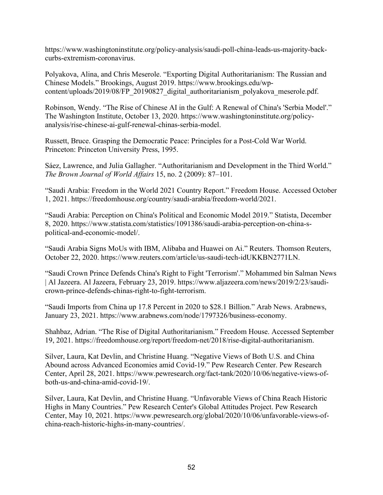https://www.washingtoninstitute.org/policy-analysis/saudi-poll-china-leads-us-majority-backcurbs-extremism-coronavirus.

Polyakova, Alina, and Chris Meserole. "Exporting Digital Authoritarianism: The Russian and Chinese Models." Brookings, August 2019. https://www.brookings.edu/wpcontent/uploads/2019/08/FP\_20190827\_digital\_authoritarianism\_polyakova\_meserole.pdf.

Robinson, Wendy. "The Rise of Chinese AI in the Gulf: A Renewal of China's 'Serbia Model'." The Washington Institute, October 13, 2020. https://www.washingtoninstitute.org/policyanalysis/rise-chinese-ai-gulf-renewal-chinas-serbia-model.

Russett, Bruce. Grasping the Democratic Peace: Principles for a Post-Cold War World. Princeton: Princeton University Press, 1995.

Sáez, Lawrence, and Julia Gallagher. "Authoritarianism and Development in the Third World." *The Brown Journal of World Affairs* 15, no. 2 (2009): 87–101.

"Saudi Arabia: Freedom in the World 2021 Country Report." Freedom House. Accessed October 1, 2021. https://freedomhouse.org/country/saudi-arabia/freedom-world/2021.

"Saudi Arabia: Perception on China's Political and Economic Model 2019." Statista, December 8, 2020. https://www.statista.com/statistics/1091386/saudi-arabia-perception-on-china-spolitical-and-economic-model/.

"Saudi Arabia Signs MoUs with IBM, Alibaba and Huawei on Ai." Reuters. Thomson Reuters, October 22, 2020. https://www.reuters.com/article/us-saudi-tech-idUKKBN2771LN.

"Saudi Crown Prince Defends China's Right to Fight 'Terrorism'." Mohammed bin Salman News | Al Jazeera. Al Jazeera, February 23, 2019. https://www.aljazeera.com/news/2019/2/23/saudicrown-prince-defends-chinas-right-to-fight-terrorism.

"Saudi Imports from China up 17.8 Percent in 2020 to \$28.1 Billion." Arab News. Arabnews, January 23, 2021. https://www.arabnews.com/node/1797326/business-economy.

Shahbaz, Adrian. "The Rise of Digital Authoritarianism." Freedom House. Accessed September 19, 2021. https://freedomhouse.org/report/freedom-net/2018/rise-digital-authoritarianism.

Silver, Laura, Kat Devlin, and Christine Huang. "Negative Views of Both U.S. and China Abound across Advanced Economies amid Covid-19." Pew Research Center. Pew Research Center, April 28, 2021. https://www.pewresearch.org/fact-tank/2020/10/06/negative-views-ofboth-us-and-china-amid-covid-19/.

Silver, Laura, Kat Devlin, and Christine Huang. "Unfavorable Views of China Reach Historic Highs in Many Countries." Pew Research Center's Global Attitudes Project. Pew Research Center, May 10, 2021. https://www.pewresearch.org/global/2020/10/06/unfavorable-views-ofchina-reach-historic-highs-in-many-countries/.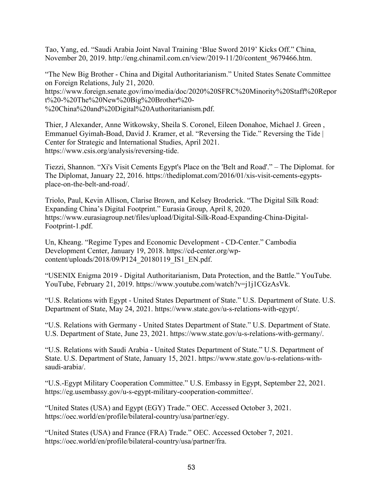Tao, Yang, ed. "Saudi Arabia Joint Naval Training 'Blue Sword 2019' Kicks Off." China, November 20, 2019. http://eng.chinamil.com.cn/view/2019-11/20/content\_9679466.htm.

"The New Big Brother - China and Digital Authoritarianism." United States Senate Committee on Foreign Relations, July 21, 2020. https://www.foreign.senate.gov/imo/media/doc/2020%20SFRC%20Minority%20Staff%20Repor t%20-%20The%20New%20Big%20Brother%20- %20China%20and%20Digital%20Authoritarianism.pdf.

Thier, J Alexander, Anne Witkowsky, Sheila S. Coronel, Eileen Donahoe, Michael J. Green , Emmanuel Gyimah-Boad, David J. Kramer, et al. "Reversing the Tide." Reversing the Tide | Center for Strategic and International Studies, April 2021. https://www.csis.org/analysis/reversing-tide.

Tiezzi, Shannon. "Xi's Visit Cements Egypt's Place on the 'Belt and Road'." – The Diplomat. for The Diplomat, January 22, 2016. https://thediplomat.com/2016/01/xis-visit-cements-egyptsplace-on-the-belt-and-road/.

Triolo, Paul, Kevin Allison, Clarise Brown, and Kelsey Broderick. "The Digital Silk Road: Expanding China's Digital Footprint." Eurasia Group, April 8, 2020. https://www.eurasiagroup.net/files/upload/Digital-Silk-Road-Expanding-China-Digital-Footprint-1.pdf.

Un, Kheang. "Regime Types and Economic Development - CD-Center." Cambodia Development Center, January 19, 2018. https://cd-center.org/wpcontent/uploads/2018/09/P124\_20180119\_IS1\_EN.pdf.

"USENIX Enigma 2019 - Digital Authoritarianism, Data Protection, and the Battle." YouTube. YouTube, February 21, 2019. https://www.youtube.com/watch?v=j1j1CGzAsVk.

"U.S. Relations with Egypt - United States Department of State." U.S. Department of State. U.S. Department of State, May 24, 2021. https://www.state.gov/u-s-relations-with-egypt/.

"U.S. Relations with Germany - United States Department of State." U.S. Department of State. U.S. Department of State, June 23, 2021. https://www.state.gov/u-s-relations-with-germany/.

"U.S. Relations with Saudi Arabia - United States Department of State." U.S. Department of State. U.S. Department of State, January 15, 2021. https://www.state.gov/u-s-relations-withsaudi-arabia/.

"U.S.-Egypt Military Cooperation Committee." U.S. Embassy in Egypt, September 22, 2021. https://eg.usembassy.gov/u-s-egypt-military-cooperation-committee/.

"United States (USA) and Egypt (EGY) Trade." OEC. Accessed October 3, 2021. https://oec.world/en/profile/bilateral-country/usa/partner/egy.

"United States (USA) and France (FRA) Trade." OEC. Accessed October 7, 2021. https://oec.world/en/profile/bilateral-country/usa/partner/fra.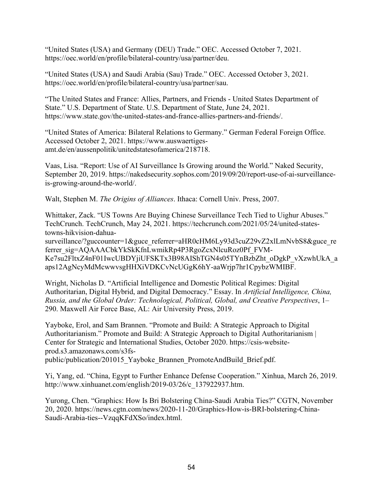"United States (USA) and Germany (DEU) Trade." OEC. Accessed October 7, 2021. https://oec.world/en/profile/bilateral-country/usa/partner/deu.

"United States (USA) and Saudi Arabia (Sau) Trade." OEC. Accessed October 3, 2021. https://oec.world/en/profile/bilateral-country/usa/partner/sau.

"The United States and France: Allies, Partners, and Friends - United States Department of State." U.S. Department of State. U.S. Department of State, June 24, 2021. https://www.state.gov/the-united-states-and-france-allies-partners-and-friends/.

"United States of America: Bilateral Relations to Germany." German Federal Foreign Office. Accessed October 2, 2021. https://www.auswaertigesamt.de/en/aussenpolitik/unitedstatesofamerica/218718.

Vaas, Lisa. "Report: Use of AI Surveillance Is Growing around the World." Naked Security, September 20, 2019. https://nakedsecurity.sophos.com/2019/09/20/report-use-of-ai-surveillanceis-growing-around-the-world/.

Walt, Stephen M. *The Origins of Alliances*. Ithaca: Cornell Univ. Press, 2007.

Whittaker, Zack. "US Towns Are Buying Chinese Surveillance Tech Tied to Uighur Abuses." TechCrunch. TechCrunch, May 24, 2021. https://techcrunch.com/2021/05/24/united-statestowns-hikvision-dahua-

surveillance/?guccounter=1&guce\_referrer=aHR0cHM6Ly93d3cuZ29vZ2xlLmNvbS8&guce\_re ferrer\_sig=AQAAACbkYkSkKfnLwmikRp4P3RgoZcxNlcuRoz0Pf\_FVM-Ke7su2FltxZ4nF01IwcUBDYjiUFSKTx3B98AIShTGN4s05TYnBzbZht\_oDgkP\_vXzwhUkA\_a aps12AgNcyMdMcwwvsgHHXiVDKCvNcUGgK6hY-aaWrjp7hr1CpybzWMIBF.

Wright, Nicholas D. "Artificial Intelligence and Domestic Political Regimes: Digital Authoritarian, Digital Hybrid, and Digital Democracy." Essay. In *Artificial Intelligence, China, Russia, and the Global Order: Technological, Political, Global, and Creative Perspectives*, 1– 290. Maxwell Air Force Base, AL: Air University Press, 2019.

Yayboke, Erol, and Sam Brannen. "Promote and Build: A Strategic Approach to Digital Authoritarianism." Promote and Build: A Strategic Approach to Digital Authoritarianism | Center for Strategic and International Studies, October 2020. https://csis-websiteprod.s3.amazonaws.com/s3fspublic/publication/201015\_Yayboke\_Brannen\_PromoteAndBuild\_Brief.pdf.

Yi, Yang, ed. "China, Egypt to Further Enhance Defense Cooperation." Xinhua, March 26, 2019. http://www.xinhuanet.com/english/2019-03/26/c\_137922937.htm.

Yurong, Chen. "Graphics: How Is Bri Bolstering China-Saudi Arabia Ties?" CGTN, November 20, 2020. https://news.cgtn.com/news/2020-11-20/Graphics-How-is-BRI-bolstering-China-Saudi-Arabia-ties--VzqqKFdXSo/index.html.